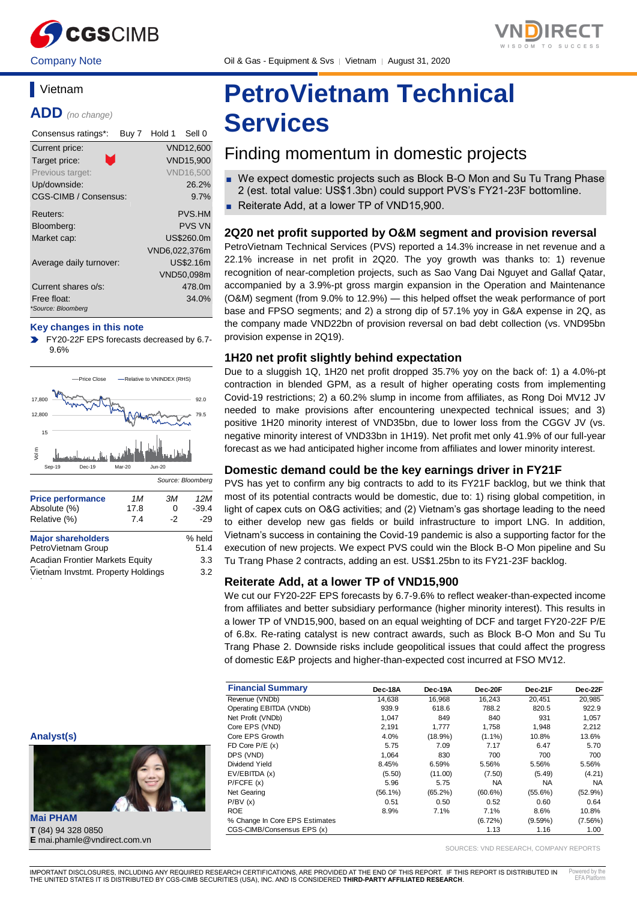

Company Note Company Oil & Gas - Equipment & Svs | Vietnam | August 31, 2020

## **Vietnam**

**ADD** *(no change)*

| Consensus ratings*:               | Buy 7 | Hold 1        | Sell 0           |
|-----------------------------------|-------|---------------|------------------|
| Current price:                    |       |               | <b>VND12,600</b> |
| Target price:                     |       |               | <b>VND15.900</b> |
| Previous target:                  |       |               | <b>VND16,500</b> |
| Up/downside:                      |       |               | 26.2%            |
| CGS-CIMB / Consensus:             |       |               | 9.7%             |
| Reuters:                          |       |               | <b>PVS.HM</b>    |
| Bloomberg:                        |       |               | <b>PVS VN</b>    |
| Market cap:                       |       |               | US\$260.0m       |
|                                   |       | VND6,022,376m |                  |
| Average daily turnover:           |       |               | US\$2.16m        |
|                                   |       |               | VND50,098m       |
| Current shares o/s:               |       |               | 478.0m           |
| Free float:<br>*Source: Bloomberg |       |               | 34.0%            |

#### **Key changes in this note**

FY20-22F EPS forecasts decreased by 6.7- 9.6%



| <b>Major shareholders</b>              | % held |
|----------------------------------------|--------|
| PetroVietnam Group                     | 51.4   |
| <b>Acadian Frontier Markets Equity</b> | 3.3    |
| Vietnam Invstmt. Property Holdings     | 3.2    |
|                                        |        |

3.3

# **PetroVietnam Technical Services**

## Finding momentum in domestic projects

- We expect domestic projects such as Block B-O Mon and Su Tu Trang Phase 2 (est. total value: US\$1.3bn) could support PVS's FY21-23F bottomline.
- Reiterate Add, at a lower TP of VND15,900.

#### **2Q20 net profit supported by O&M segment and provision reversal**

PetroVietnam Technical Services (PVS) reported a 14.3% increase in net revenue and a 22.1% increase in net profit in 2Q20. The yoy growth was thanks to: 1) revenue recognition of near-completion projects, such as Sao Vang Dai Nguyet and Gallaf Qatar, accompanied by a 3.9%-pt gross margin expansion in the Operation and Maintenance (O&M) segment (from 9.0% to 12.9%) — this helped offset the weak performance of port base and FPSO segments; and 2) a strong dip of 57.1% yoy in G&A expense in 2Q, as the company made VND22bn of provision reversal on bad debt collection (vs. VND95bn provision expense in 2Q19).

#### **1H20 net profit slightly behind expectation**

Due to a sluggish 1Q, 1H20 net profit dropped 35.7% yoy on the back of: 1) a 4.0%-pt contraction in blended GPM, as a result of higher operating costs from implementing Covid-19 restrictions; 2) a 60.2% slump in income from affiliates, as Rong Doi MV12 JV needed to make provisions after encountering unexpected technical issues; and 3) positive 1H20 minority interest of VND35bn, due to lower loss from the CGGV JV (vs. negative minority interest of VND33bn in 1H19). Net profit met only 41.9% of our full-year forecast as we had anticipated higher income from affiliates and lower minority interest.

#### **Domestic demand could be the key earnings driver in FY21F**

PVS has yet to confirm any big contracts to add to its FY21F backlog, but we think that most of its potential contracts would be domestic, due to: 1) rising global competition, in light of capex cuts on O&G activities; and (2) Vietnam's gas shortage leading to the need to either develop new gas fields or build infrastructure to import LNG. In addition, Vietnam's success in containing the Covid-19 pandemic is also a supporting factor for the execution of new projects. We expect PVS could win the Block B-O Mon pipeline and Su Tu Trang Phase 2 contracts, adding an est. US\$1.25bn to its FY21-23F backlog.

#### **Reiterate Add, at a lower TP of VND15,900**

We cut our FY20-22F EPS forecasts by 6.7-9.6% to reflect weaker-than-expected income from affiliates and better subsidiary performance (higher minority interest). This results in a lower TP of VND15,900, based on an equal weighting of DCF and target FY20-22F P/E of 6.8x. Re-rating catalyst is new contract awards, such as Block B-O Mon and Su Tu Trang Phase 2. Downside risks include geopolitical issues that could affect the progress of domestic E&P projects and higher-than-expected cost incurred at FSO MV12.

| <b>Financial Summary</b>       | Dec-18A    | Dec-19A    | Dec-20F    | Dec-21F    | Dec-22F    |
|--------------------------------|------------|------------|------------|------------|------------|
| Revenue (VNDb)                 | 14.638     | 16,968     | 16.243     | 20.451     | 20,985     |
| Operating EBITDA (VNDb)        | 939.9      | 618.6      | 788.2      | 820.5      | 922.9      |
| Net Profit (VNDb)              | 1,047      | 849        | 840        | 931        | 1,057      |
| Core EPS (VND)                 | 2.191      | 1.777      | 1.758      | 1.948      | 2,212      |
| Core EPS Growth                | 4.0%       | $(18.9\%)$ | $(1.1\%)$  | 10.8%      | 13.6%      |
| FD Core $P/E(x)$               | 5.75       | 7.09       | 7.17       | 6.47       | 5.70       |
| DPS (VND)                      | 1.064      | 830        | 700        | 700        | 700        |
| Dividend Yield                 | 8.45%      | 6.59%      | 5.56%      | 5.56%      | 5.56%      |
| EV/EBITDA (x)                  | (5.50)     | (11.00)    | (7.50)     | (5.49)     | (4.21)     |
| P/FCFE(x)                      | 5.96       | 5.75       | <b>NA</b>  | <b>NA</b>  | NA.        |
| Net Gearing                    | $(56.1\%)$ | $(65.2\%)$ | $(60.6\%)$ | $(55.6\%)$ | $(52.9\%)$ |
| P/BV(x)                        | 0.51       | 0.50       | 0.52       | 0.60       | 0.64       |
| <b>ROE</b>                     | 8.9%       | 7.1%       | 7.1%       | 8.6%       | 10.8%      |
| % Change In Core EPS Estimates |            |            | (6.72%)    | $(9.59\%)$ | $(7.56\%)$ |
| CGS-CIMB/Consensus EPS (x)     |            |            | 1.13       | 1.16       | 1.00       |

SOURCES: VND RESEARCH, COMPANY REPORTS



**T** (84) 94 328 0850 **E** mai.phamle@vndirect.com.vn

**Analyst(s)**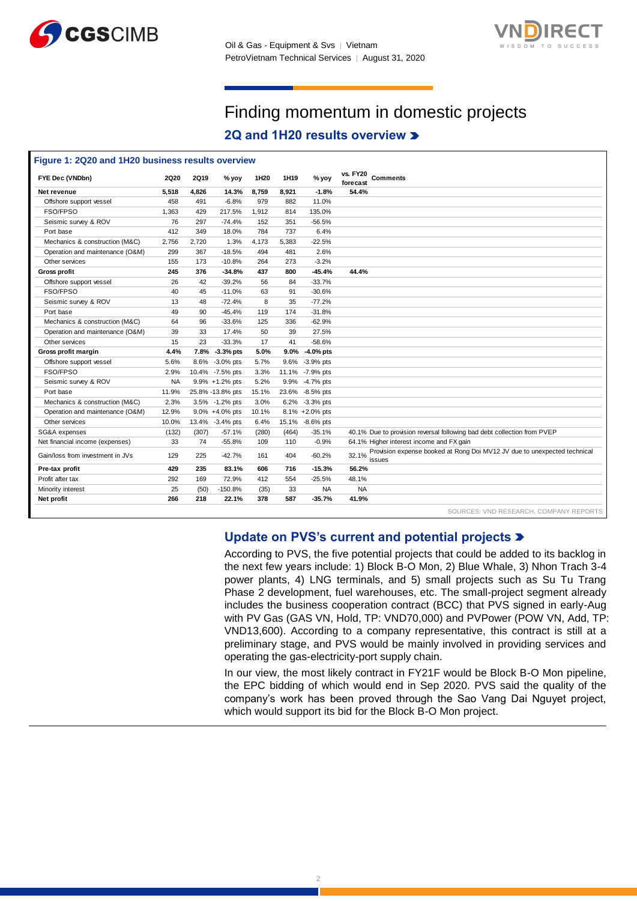



## Finding momentum in domestic projects

### **2Q and 1H20 results overview**

| FYE Dec (VNDbn)                  | <b>2Q20</b> | <b>2Q19</b> | % yoy            | 1H <sub>20</sub> | 1H <sub>19</sub> | $%$ yoy         | <b>vs. FY20</b><br>forecast | <b>Comments</b>                                                                    |
|----------------------------------|-------------|-------------|------------------|------------------|------------------|-----------------|-----------------------------|------------------------------------------------------------------------------------|
| Net revenue                      | 5.518       | 4,826       | 14.3%            | 8,759            | 8,921            | $-1.8%$         | 54.4%                       |                                                                                    |
| Offshore support vessel          | 458         | 491         | $-6.8%$          | 979              | 882              | 11.0%           |                             |                                                                                    |
| FSO/FPSO                         | 1,363       | 429         | 217.5%           | 1,912            | 814              | 135.0%          |                             |                                                                                    |
| Seismic survey & ROV             | 76          | 297         | $-74.4%$         | 152              | 351              | $-56.5%$        |                             |                                                                                    |
| Port base                        | 412         | 349         | 18.0%            | 784              | 737              | 6.4%            |                             |                                                                                    |
| Mechanics & construction (M&C)   | 2,756       | 2,720       | 1.3%             | 4,173            | 5,383            | $-22.5%$        |                             |                                                                                    |
| Operation and maintenance (O&M)  | 299         | 367         | $-18.5%$         | 494              | 481              | 2.6%            |                             |                                                                                    |
| Other services                   | 155         | 173         | $-10.8%$         | 264              | 273              | $-3.2%$         |                             |                                                                                    |
| <b>Gross profit</b>              | 245         | 376         | $-34.8%$         | 437              | 800              | $-45.4%$        | 44.4%                       |                                                                                    |
| Offshore support vessel          | 26          | 42          | $-39.2%$         | 56               | 84               | $-33.7%$        |                             |                                                                                    |
| FSO/FPSO                         | 40          | 45          | $-11.0%$         | 63               | 91               | $-30.6%$        |                             |                                                                                    |
| Seismic survey & ROV             | 13          | 48          | $-72.4%$         | 8                | 35               | $-77.2%$        |                             |                                                                                    |
| Port base                        | 49          | 90          | $-45.4%$         | 119              | 174              | $-31.8%$        |                             |                                                                                    |
| Mechanics & construction (M&C)   | 64          | 96          | $-33.6%$         | 125              | 336              | $-62.9%$        |                             |                                                                                    |
| Operation and maintenance (O&M)  | 39          | 33          | 17.4%            | 50               | 39               | 27.5%           |                             |                                                                                    |
| Other services                   | 15          | 23          | $-33.3%$         | 17               | 41               | $-58.6%$        |                             |                                                                                    |
| Gross profit margin              | 4.4%        |             | 7.8% -3.3% pts   | 5.0%             | $9.0\%$          | -4.0% pts       |                             |                                                                                    |
| Offshore support vessel          | 5.6%        |             | 8.6% -3.0% pts   | 5.7%             |                  | 9.6% -3.9% pts  |                             |                                                                                    |
| FSO/FPSO                         | 2.9%        |             | 10.4% -7.5% pts  | 3.3%             |                  | 11.1% -7.9% pts |                             |                                                                                    |
| Seismic survey & ROV             | <b>NA</b>   |             | 9.9% +1.2% pts   | 5.2%             |                  | 9.9% -4.7% pts  |                             |                                                                                    |
| Port base                        | 11.9%       |             | 25.8% -13.8% pts | 15.1%            |                  | 23.6% -8.5% pts |                             |                                                                                    |
| Mechanics & construction (M&C)   | 2.3%        |             | 3.5% -1.2% pts   | 3.0%             |                  | 6.2% -3.3% pts  |                             |                                                                                    |
| Operation and maintenance (O&M)  | 12.9%       |             | 9.0% +4.0% pts   | 10.1%            |                  | 8.1% +2.0% pts  |                             |                                                                                    |
| Other services                   | 10.0%       |             | 13.4% -3.4% pts  | 6.4%             |                  | 15.1% -8.6% pts |                             |                                                                                    |
| SG&A expenses                    | (132)       | (307)       | $-57.1%$         | (280)            | (464)            | $-35.1%$        |                             | 40.1% Due to provision reversal following bad debt collection from PVEP            |
| Net financial income (expenses)  | 33          | 74          | $-55.8%$         | 109              | 110              | $-0.9%$         |                             | 64.1% Higher interest income and FX gain                                           |
| Gain/loss from investment in JVs | 129         | 225         | $-42.7%$         | 161              | 404              | $-60.2%$        | 32.1%                       | Provision expense booked at Rong Doi MV12 JV due to unexpected technical<br>issues |
| Pre-tax profit                   | 429         | 235         | 83.1%            | 606              | 716              | $-15.3%$        | 56.2%                       |                                                                                    |
| Profit after tax                 | 292         | 169         | 72.9%            | 412              | 554              | $-25.5%$        | 48.1%                       |                                                                                    |
| Minority interest                | 25          | (50)        | $-150.8%$        | (35)             | 33               | <b>NA</b>       | <b>NA</b>                   |                                                                                    |
| Net profit                       | 266         | 218         | 22.1%            | 378              | 587              | $-35.7%$        | 41.9%                       |                                                                                    |

#### **Update on PVS's current and potential projects**

According to PVS, the five potential projects that could be added to its backlog in the next few years include: 1) Block B-O Mon, 2) Blue Whale, 3) Nhon Trach 3-4 power plants, 4) LNG terminals, and 5) small projects such as Su Tu Trang Phase 2 development, fuel warehouses, etc. The small-project segment already includes the business cooperation contract (BCC) that PVS signed in early-Aug with PV Gas (GAS VN, Hold, TP: VND70,000) and PVPower (POW VN, Add, TP: VND13,600). According to a company representative, this contract is still at a preliminary stage, and PVS would be mainly involved in providing services and operating the gas-electricity-port supply chain.

In our view, the most likely contract in FY21F would be Block B-O Mon pipeline, the EPC bidding of which would end in Sep 2020. PVS said the quality of the company's work has been proved through the Sao Vang Dai Nguyet project, which would support its bid for the Block B-O Mon project.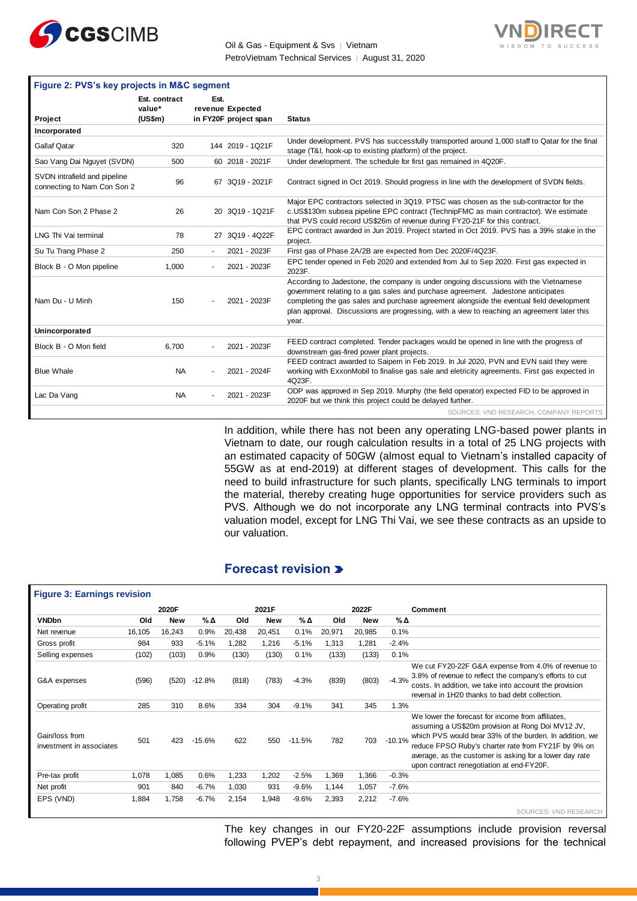



|                                                             | Figure 2: PVS's key projects in M&C segment |      |                                           |                                                                                                                                                                                                                                                                                                                                                                              |  |  |  |  |  |  |  |
|-------------------------------------------------------------|---------------------------------------------|------|-------------------------------------------|------------------------------------------------------------------------------------------------------------------------------------------------------------------------------------------------------------------------------------------------------------------------------------------------------------------------------------------------------------------------------|--|--|--|--|--|--|--|
| Project                                                     | Est. contract<br>value*<br>(US\$m)          | Est. | revenue Expected<br>in FY20F project span | <b>Status</b>                                                                                                                                                                                                                                                                                                                                                                |  |  |  |  |  |  |  |
| Incorporated                                                |                                             |      |                                           |                                                                                                                                                                                                                                                                                                                                                                              |  |  |  |  |  |  |  |
| <b>Gallaf Qatar</b>                                         | 320                                         |      | 144 2019 - 1Q21F                          | Under development. PVS has successfully transported around 1,000 staff to Qatar for the final<br>stage (T&I, hook-up to existing platform) of the project.                                                                                                                                                                                                                   |  |  |  |  |  |  |  |
| Sao Vang Dai Nguyet (SVDN)                                  | 500                                         |      | 60 2018 - 2021F                           | Under development. The schedule for first gas remained in 4Q20F.                                                                                                                                                                                                                                                                                                             |  |  |  |  |  |  |  |
| SVDN intrafield and pipeline<br>connecting to Nam Con Son 2 | 96                                          |      | 67 3Q19 - 2021F                           | Contract signed in Oct 2019. Should progress in line with the development of SVDN fields.                                                                                                                                                                                                                                                                                    |  |  |  |  |  |  |  |
| Nam Con Son 2 Phase 2                                       | 26                                          |      | 20 3Q19 - 1Q21F                           | Major EPC contractors selected in 3Q19. PTSC was chosen as the sub-contractor for the<br>c.US\$130m subsea pipeline EPC contract (TechnipFMC as main contractor). We estimate<br>that PVS could record US\$26m of revenue during FY20-21F for this contract.                                                                                                                 |  |  |  |  |  |  |  |
| LNG Thi Vai terminal                                        | 78                                          |      | 27 3Q19 - 4Q22F                           | EPC contract awarded in Jun 2019. Project started in Oct 2019. PVS has a 39% stake in the<br>project.                                                                                                                                                                                                                                                                        |  |  |  |  |  |  |  |
| Su Tu Trang Phase 2                                         | 250                                         |      | 2021 - 2023F                              | First gas of Phase 2A/2B are expected from Dec 2020F/4Q23F.                                                                                                                                                                                                                                                                                                                  |  |  |  |  |  |  |  |
| Block B - O Mon pipeline                                    | 1,000                                       |      | 2021 - 2023F                              | EPC tender opened in Feb 2020 and extended from Jul to Sep 2020. First gas expected in<br>2023F.                                                                                                                                                                                                                                                                             |  |  |  |  |  |  |  |
| Nam Du - U Minh                                             | 150                                         |      | 2021 - 2023F                              | According to Jadestone, the company is under ongoing discussions with the Vietnamese<br>government relating to a gas sales and purchase agreement. Jadestone anticipates<br>completing the gas sales and purchase agreement alongside the eventual field development<br>plan approval. Discussions are progressing, with a view to reaching an agreement later this<br>year. |  |  |  |  |  |  |  |
| Unincorporated                                              |                                             |      |                                           |                                                                                                                                                                                                                                                                                                                                                                              |  |  |  |  |  |  |  |
| Block B - O Mon field                                       | 6,700                                       |      | 2021 - 2023F                              | FEED contract completed. Tender packages would be opened in line with the progress of<br>downstream gas-fired power plant projects.                                                                                                                                                                                                                                          |  |  |  |  |  |  |  |
| <b>Blue Whale</b>                                           | <b>NA</b>                                   |      | 2021 - 2024F                              | FEED contract awarded to Saipem in Feb 2019. In Jul 2020, PVN and EVN said they were<br>working with ExxonMobil to finalise gas sale and eletricity agreements. First gas expected in<br>4Q23F.                                                                                                                                                                              |  |  |  |  |  |  |  |
| Lac Da Vang                                                 | <b>NA</b>                                   |      | 2021 - 2023F                              | ODP was approved in Sep 2019. Murphy (the field operator) expected FID to be approved in<br>2020F but we think this project could be delayed further.                                                                                                                                                                                                                        |  |  |  |  |  |  |  |
|                                                             |                                             |      |                                           | SOURCES: VND RESEARCH, COMPANY REPORTS                                                                                                                                                                                                                                                                                                                                       |  |  |  |  |  |  |  |

In addition, while there has not been any operating LNG-based power plants in Vietnam to date, our rough calculation results in a total of 25 LNG projects with an estimated capacity of 50GW (almost equal to Vietnam's installed capacity of 55GW as at end-2019) at different stages of development. This calls for the need to build infrastructure for such plants, specifically LNG terminals to import the material, thereby creating huge opportunities for service providers such as PVS. Although we do not incorporate any LNG terminal contracts into PVS's valuation model, except for LNG Thi Vai, we see these contracts as an upside to our valuation.

#### **Forecast revision**

|                                            |        | 2020F      |          |        | 2021F      |          |        | 2022F      |          | <b>Comment</b>                                                                                                                                                                                                                                                                                                                   |
|--------------------------------------------|--------|------------|----------|--------|------------|----------|--------|------------|----------|----------------------------------------------------------------------------------------------------------------------------------------------------------------------------------------------------------------------------------------------------------------------------------------------------------------------------------|
| <b>VNDbn</b>                               | Old    | <b>New</b> | %Δ       | Old    | <b>New</b> | %Δ       | Old    | <b>New</b> | %Δ       |                                                                                                                                                                                                                                                                                                                                  |
| Net revenue                                | 16,105 | 16,243     | 0.9%     | 20,438 | 20,451     | 0.1%     | 20,971 | 20,985     | 0.1%     |                                                                                                                                                                                                                                                                                                                                  |
| Gross profit                               | 984    | 933        | $-5.1%$  | 1,282  | 1,216      | $-5.1%$  | 1,313  | 1,281      | $-2.4%$  |                                                                                                                                                                                                                                                                                                                                  |
| Selling expenses                           | (102)  | (103)      | 0.9%     | (130)  | (130)      | 0.1%     | (133)  | (133)      | 0.1%     |                                                                                                                                                                                                                                                                                                                                  |
| G&A expenses                               | (596)  | (520)      | $-12.8%$ | (818)  | (783)      | $-4.3%$  | (839)  | (803)      | $-4.3%$  | We cut FY20-22F G&A expense from 4.0% of revenue to<br>3.8% of revenue to reflect the company's efforts to cut<br>costs. In addition, we take into account the provision<br>reversal in 1H20 thanks to bad debt collection.                                                                                                      |
| Operating profit                           | 285    | 310        | 8.6%     | 334    | 304        | $-9.1%$  | 341    | 345        | 1.3%     |                                                                                                                                                                                                                                                                                                                                  |
| Gain/loss from<br>investment in associates | 501    | 423        | $-15.6%$ | 622    | 550        | $-11.5%$ | 782    | 703        | $-10.1%$ | We lower the forecast for income from affiliates,<br>assuming a US\$20m provision at Rong Doi MV12 JV,<br>which PVS would bear 33% of the burden. In addition, we<br>reduce FPSO Ruby's charter rate from FY21F by 9% on<br>average, as the customer is asking for a lower day rate<br>upon contract renegotiation at end-FY20F. |
| Pre-tax profit                             | 1,078  | 1,085      | 0.6%     | 1,233  | 1,202      | $-2.5%$  | 1,369  | 1,366      | $-0.3%$  |                                                                                                                                                                                                                                                                                                                                  |
| Net profit                                 | 901    | 840        | $-6.7%$  | 1,030  | 931        | $-9.6%$  | 1,144  | 1,057      | $-7.6%$  |                                                                                                                                                                                                                                                                                                                                  |
| EPS (VND)                                  | 1,884  | 1,758      | $-6.7%$  | 2,154  | 1,948      | $-9.6%$  | 2,393  | 2,212      | $-7.6%$  |                                                                                                                                                                                                                                                                                                                                  |

The key changes in our FY20-22F assumptions include provision reversal following PVEP's debt repayment, and increased provisions for the technical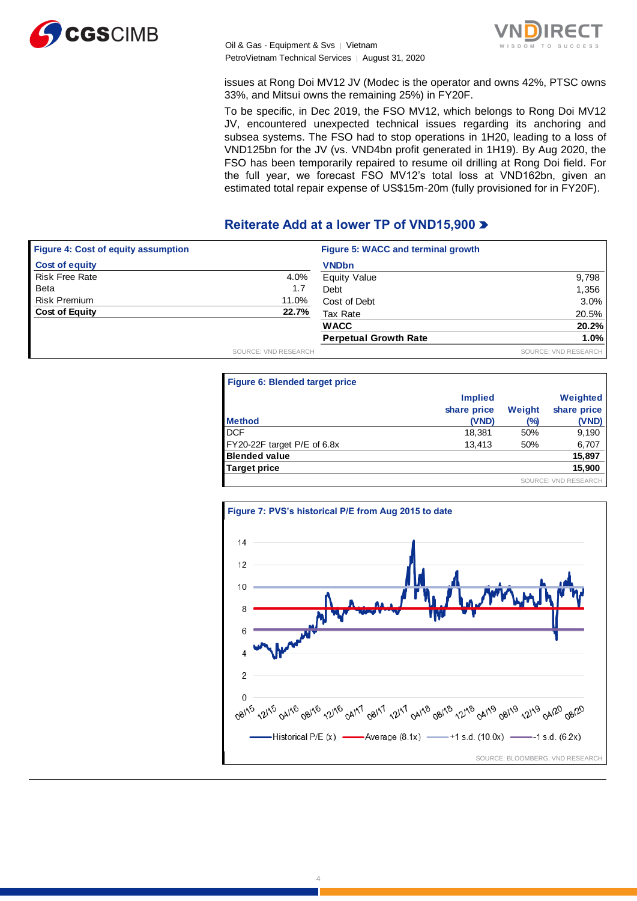



issues at Rong Doi MV12 JV (Modec is the operator and owns 42%, PTSC owns 33%, and Mitsui owns the remaining 25%) in FY20F.

To be specific, in Dec 2019, the FSO MV12, which belongs to Rong Doi MV12 JV, encountered unexpected technical issues regarding its anchoring and subsea systems. The FSO had to stop operations in 1H20, leading to a loss of VND125bn for the JV (vs. VND4bn profit generated in 1H19). By Aug 2020, the FSO has been temporarily repaired to resume oil drilling at Rong Doi field. For the full year, we forecast FSO MV12's total loss at VND162bn, given an estimated total repair expense of US\$15m-20m (fully provisioned for in FY20F).

#### **Reiterate Add at a lower TP of VND15,900**

| <b>Figure 4: Cost of equity assumption</b> |                      | Figure 5: WACC and terminal growth |                      |
|--------------------------------------------|----------------------|------------------------------------|----------------------|
| <b>Cost of equity</b>                      |                      | <b>VNDbn</b>                       |                      |
| <b>Risk Free Rate</b>                      | 4.0%                 | Equity Value                       | 9,798                |
| <b>Beta</b>                                | 1.7                  | Debt                               | 1,356                |
| <b>Risk Premium</b>                        | 11.0%                | Cost of Debt                       | 3.0%                 |
| <b>Cost of Equity</b>                      | 22.7%                | Tax Rate                           | 20.5%                |
|                                            |                      | <b>WACC</b>                        | 20.2%                |
|                                            |                      | <b>Perpetual Growth Rate</b>       | $1.0\%$              |
|                                            | SOURCE: VND RESEARCH |                                    | SOURCE: VND RESEARCH |

| <b>Figure 6: Blended target price</b> |                               |        |                           |
|---------------------------------------|-------------------------------|--------|---------------------------|
|                                       | <b>Implied</b><br>share price | Weight | Weighted<br>share price   |
| <b>Method</b>                         | (VND)                         | (%)    | (VND)                     |
| <b>DCF</b>                            | 18,381                        | 50%    | 9,190                     |
| FY20-22F target P/E of 6.8x           | 13,413                        | 50%    | 6,707                     |
| <b>Blended value</b>                  |                               |        | 15,897                    |
| Target price                          |                               |        | 15,900                    |
|                                       |                               |        | <b>URCE: VND RESEARCH</b> |



4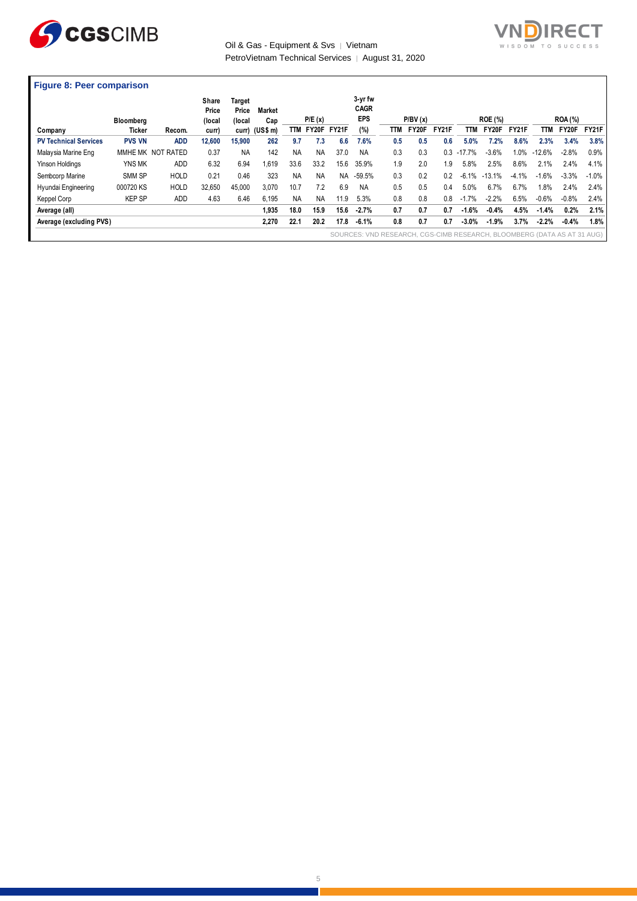



#### **Figure 8: Peer comparison**

|                              | <b>Bloomberg</b> |                   | Share<br>Price<br>(local | Target<br>Price<br>(local | <b>Market</b><br>Cap |           | P/E(x)    |           | 3-yr fw<br><b>CAGR</b><br><b>EPS</b>                                    |     | P/BV(x) |              |           | <b>ROE (%)</b> |              |          | <b>ROA (%)</b> |         |
|------------------------------|------------------|-------------------|--------------------------|---------------------------|----------------------|-----------|-----------|-----------|-------------------------------------------------------------------------|-----|---------|--------------|-----------|----------------|--------------|----------|----------------|---------|
| Company                      | Ticker           | Recom.            | curr)                    |                           | curr) (US\$ m)       | TTM       | FY20F     | FY21F     | (%)                                                                     | TTM | FY20F   | <b>FY21F</b> | TТM       | <b>FY20F</b>   | <b>FY21F</b> | TTM      | FY20F          | FY21F   |
| <b>PV Technical Services</b> | <b>PVS VN</b>    | <b>ADD</b>        | 12,600                   | 15,900                    | 262                  | 9.7       | 7.3       | 6.6       | 7.6%                                                                    | 0.5 | 0.5     | 0.6          | 5.0%      | 7.2%           | 8.6%         | 2.3%     | 3.4%           | 3.8%    |
| Malaysia Marine Eng          |                  | MMHE MK NOT RATED | 0.37                     | <b>NA</b>                 | 142                  | <b>NA</b> | <b>NA</b> | 37.0      | NA                                                                      | 0.3 | 0.3     | 0.3          | $-17.7\%$ | $-3.6%$        | 1.0%         | $-12.6%$ | $-2.8%$        | $0.9\%$ |
| Yinson Holdings              | YNS MK           | ADD               | 6.32                     | 6.94                      | 1.619                | 33.6      | 33.2      | 15.6      | 35.9%                                                                   | 1.9 | 2.0     | 1.9          | 5.8%      | 2.5%           | 8.6%         | 2.1%     | 2.4%           | 4.1%    |
| Sembcorp Marine              | SMM SP           | <b>HOLD</b>       | 0.21                     | 0.46                      | 323                  | <b>NA</b> | <b>NA</b> | <b>NA</b> | $-59.5%$                                                                | 0.3 | 0.2     | 0.2          | $-6.1%$   | $-13.1%$       | $-4.1%$      | $-1.6%$  | $-3.3%$        | $-1.0%$ |
| Hyundai Engineering          | 000720 KS        | <b>HOLD</b>       | 32.650                   | 45.000                    | 3.070                | 10.7      | 7.2       | 6.9       | <b>NA</b>                                                               | 0.5 | 0.5     | 0.4          | 5.0%      | 6.7%           | 6.7%         | 1.8%     | 2.4%           | 2.4%    |
| Keppel Corp                  | <b>KEP SP</b>    | ADD               | 4.63                     | 6.46                      | 6.195                | <b>NA</b> | <b>NA</b> | 11.9      | 5.3%                                                                    | 0.8 | 0.8     | 0.8          | $.7\%$    | $-2.2%$        | 6.5%         | $-0.6%$  | $-0.8%$        | 2.4%    |
| Average (all)                |                  |                   |                          |                           | 1.935                | 18.0      | 15.9      | 15.6      | $-2.7%$                                                                 | 0.7 | 0.7     | 0.7          | $-1.6%$   | $-0.4%$        | 4.5%         | $-1.4%$  | 0.2%           | 2.1%    |
| Average (excluding PVS)      |                  |                   |                          |                           | 2,270                | 22.1      | 20.2      | 17.8      | $-6.1%$                                                                 | 0.8 | 0.7     | 0.7          | $-3.0%$   | $-1.9%$        | 3.7%         | $-2.2%$  | $-0.4%$        | 1.8%    |
|                              |                  |                   |                          |                           |                      |           |           |           | SOURCES: VND RESEARCH, CGS-CIMB RESEARCH, BLOOMBERG (DATA AS AT 31 AUG) |     |         |              |           |                |              |          |                |         |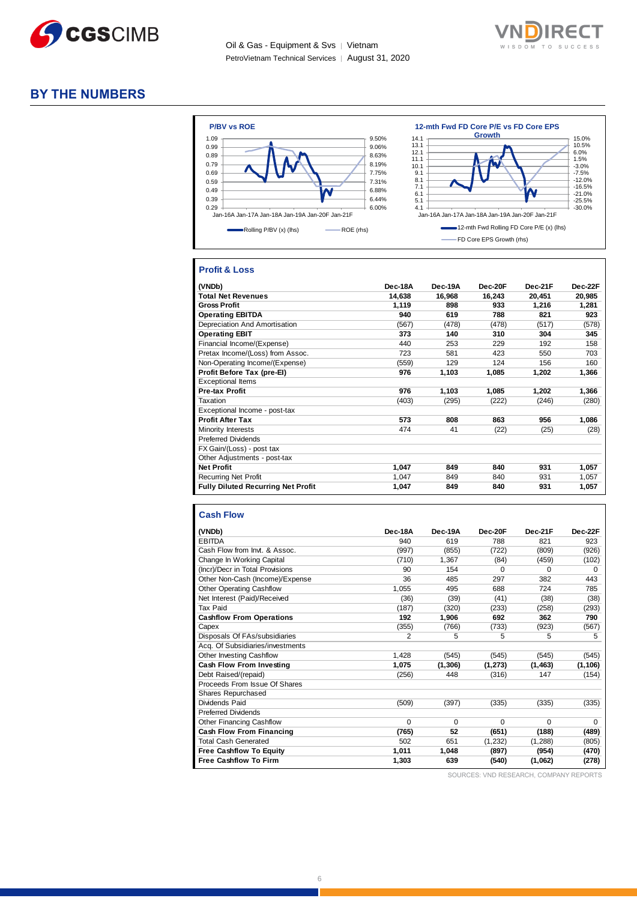



#### **BY THE NUMBERS**



#### **Profit & Loss**

| (VNDb)                                    | Dec-18A | Dec-19A | Dec-20F | Dec-21F | Dec-22F |
|-------------------------------------------|---------|---------|---------|---------|---------|
| <b>Total Net Revenues</b>                 | 14,638  | 16,968  | 16,243  | 20,451  | 20,985  |
| <b>Gross Profit</b>                       | 1,119   | 898     | 933     | 1,216   | 1,281   |
| <b>Operating EBITDA</b>                   | 940     | 619     | 788     | 821     | 923     |
| Depreciation And Amortisation             | (567)   | (478)   | (478)   | (517)   | (578)   |
| <b>Operating EBIT</b>                     | 373     | 140     | 310     | 304     | 345     |
| Financial Income/(Expense)                | 440     | 253     | 229     | 192     | 158     |
| Pretax Income/(Loss) from Assoc.          | 723     | 581     | 423     | 550     | 703     |
| Non-Operating Income/(Expense)            | (559)   | 129     | 124     | 156     | 160     |
| Profit Before Tax (pre-El)                | 976     | 1,103   | 1,085   | 1,202   | 1,366   |
| <b>Exceptional Items</b>                  |         |         |         |         |         |
| <b>Pre-tax Profit</b>                     | 976     | 1,103   | 1,085   | 1,202   | 1,366   |
| Taxation                                  | (403)   | (295)   | (222)   | (246)   | (280)   |
| Exceptional Income - post-tax             |         |         |         |         |         |
| <b>Profit After Tax</b>                   | 573     | 808     | 863     | 956     | 1,086   |
| Minority Interests                        | 474     | 41      | (22)    | (25)    | (28)    |
| <b>Preferred Dividends</b>                |         |         |         |         |         |
| FX Gain/(Loss) - post tax                 |         |         |         |         |         |
| Other Adjustments - post-tax              |         |         |         |         |         |
| <b>Net Profit</b>                         | 1,047   | 849     | 840     | 931     | 1,057   |
| <b>Recurring Net Profit</b>               | 1,047   | 849     | 840     | 931     | 1,057   |
| <b>Fully Diluted Recurring Net Profit</b> | 1,047   | 849     | 840     | 931     | 1,057   |

#### **Cash Flow**

| (VNDb)                           | Dec-18A  | Dec-19A  | Dec-20F  | Dec-21F  | Dec-22F  |
|----------------------------------|----------|----------|----------|----------|----------|
| <b>EBITDA</b>                    | 940      | 619      | 788      | 821      | 923      |
| Cash Flow from Invt. & Assoc.    | (997)    | (855)    | (722)    | (809)    | (926)    |
| Change In Working Capital        | (710)    | 1,367    | (84)     | (459)    | (102)    |
| (Incr)/Decr in Total Provisions  | 90       | 154      | $\Omega$ | $\Omega$ | $\Omega$ |
| Other Non-Cash (Income)/Expense  | 36       | 485      | 297      | 382      | 443      |
| <b>Other Operating Cashflow</b>  | 1,055    | 495      | 688      | 724      | 785      |
| Net Interest (Paid)/Received     | (36)     | (39)     | (41)     | (38)     | (38)     |
| Tax Paid                         | (187)    | (320)    | (233)    | (258)    | (293)    |
| <b>Cashflow From Operations</b>  | 192      | 1,906    | 692      | 362      | 790      |
| Capex                            | (355)    | (766)    | (733)    | (923)    | (567)    |
| Disposals Of FAs/subsidiaries    | 2        | 5        | 5        | 5        | 5        |
| Acq. Of Subsidiaries/investments |          |          |          |          |          |
| <b>Other Investing Cashflow</b>  | 1,428    | (545)    | (545)    | (545)    | (545)    |
| Cash Flow From Investing         | 1,075    | (1, 306) | (1, 273) | (1, 463) | (1, 106) |
| Debt Raised/(repaid)             | (256)    | 448      | (316)    | 147      | (154)    |
| Proceeds From Issue Of Shares    |          |          |          |          |          |
| Shares Repurchased               |          |          |          |          |          |
| Dividends Paid                   | (509)    | (397)    | (335)    | (335)    | (335)    |
| <b>Preferred Dividends</b>       |          |          |          |          |          |
| <b>Other Financing Cashflow</b>  | $\Omega$ | $\Omega$ | $\Omega$ | $\Omega$ | $\Omega$ |
| <b>Cash Flow From Financing</b>  | (765)    | 52       | (651)    | (188)    | (489)    |
| <b>Total Cash Generated</b>      | 502      | 651      | (1, 232) | (1,288)  | (805)    |
| <b>Free Cashflow To Equity</b>   | 1,011    | 1,048    | (897)    | (954)    | (470)    |
| <b>Free Cashflow To Firm</b>     | 1,303    | 639      | (540)    | (1,062)  | (278)    |

SOURCES: VND RESEARCH, COMPANY REPORTS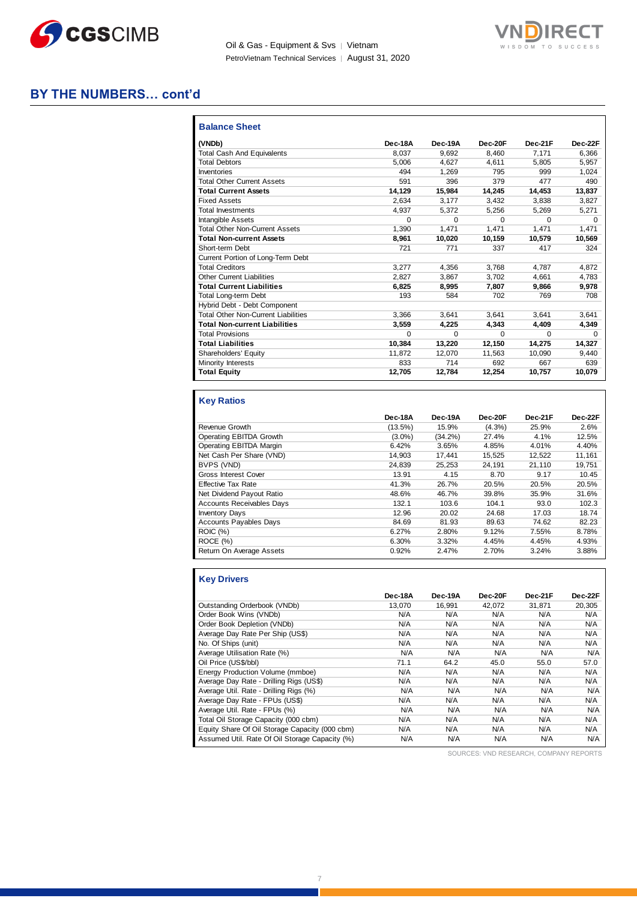



#### **BY THE NUMBERS… cont'd**

| <b>Balance Sheet</b>                       |          |          |          |          |          |
|--------------------------------------------|----------|----------|----------|----------|----------|
| (VNDb)                                     | Dec-18A  | Dec-19A  | Dec-20F  | Dec-21F  | Dec-22F  |
| <b>Total Cash And Equivalents</b>          | 8.037    | 9.692    | 8.460    | 7.171    | 6.366    |
| <b>Total Debtors</b>                       | 5.006    | 4.627    | 4.611    | 5.805    | 5,957    |
| Inventories                                | 494      | 1.269    | 795      | 999      | 1,024    |
| <b>Total Other Current Assets</b>          | 591      | 396      | 379      | 477      | 490      |
| <b>Total Current Assets</b>                | 14.129   | 15.984   | 14,245   | 14.453   | 13,837   |
| <b>Fixed Assets</b>                        | 2.634    | 3.177    | 3,432    | 3.838    | 3,827    |
| <b>Total Investments</b>                   | 4.937    | 5.372    | 5,256    | 5,269    | 5,271    |
| <b>Intangible Assets</b>                   | $\Omega$ | $\Omega$ | $\Omega$ | $\Omega$ | $\Omega$ |
| <b>Total Other Non-Current Assets</b>      | 1.390    | 1.471    | 1.471    | 1.471    | 1,471    |
| <b>Total Non-current Assets</b>            | 8,961    | 10,020   | 10.159   | 10.579   | 10,569   |
| Short-term Debt                            | 721      | 771      | 337      | 417      | 324      |
| Current Portion of Long-Term Debt          |          |          |          |          |          |
| <b>Total Creditors</b>                     | 3.277    | 4,356    | 3,768    | 4.787    | 4,872    |
| <b>Other Current Liabilities</b>           | 2.827    | 3.867    | 3.702    | 4.661    | 4.783    |
| <b>Total Current Liabilities</b>           | 6.825    | 8.995    | 7.807    | 9.866    | 9,978    |
| <b>Total Long-term Debt</b>                | 193      | 584      | 702      | 769      | 708      |
| Hybrid Debt - Debt Component               |          |          |          |          |          |
| <b>Total Other Non-Current Liabilities</b> | 3.366    | 3.641    | 3.641    | 3.641    | 3,641    |
| <b>Total Non-current Liabilities</b>       | 3,559    | 4,225    | 4,343    | 4,409    | 4,349    |
| <b>Total Provisions</b>                    | $\Omega$ | $\Omega$ | $\Omega$ | $\Omega$ | $\Omega$ |
| <b>Total Liabilities</b>                   | 10,384   | 13,220   | 12,150   | 14,275   | 14,327   |
| Shareholders' Equity                       | 11,872   | 12.070   | 11,563   | 10,090   | 9,440    |
| Minority Interests                         | 833      | 714      | 692      | 667      | 639      |
| <b>Total Equity</b>                        | 12,705   | 12.784   | 12,254   | 10,757   | 10.079   |

#### **Key Ratios**

|                                  | Dec-18A   | Dec-19A    | Dec-20F   | Dec-21F | Dec-22F |
|----------------------------------|-----------|------------|-----------|---------|---------|
| Revenue Growth                   | (13.5%)   | 15.9%      | $(4.3\%)$ | 25.9%   | 2.6%    |
| Operating EBITDA Growth          | $(3.0\%)$ | $(34.2\%)$ | 27.4%     | 4.1%    | 12.5%   |
| Operating EBITDA Margin          | 6.42%     | 3.65%      | 4.85%     | 4.01%   | 4.40%   |
| Net Cash Per Share (VND)         | 14.903    | 17.441     | 15.525    | 12.522  | 11,161  |
| BVPS (VND)                       | 24.839    | 25.253     | 24,191    | 21,110  | 19,751  |
| <b>Gross Interest Cover</b>      | 13.91     | 4.15       | 8.70      | 9.17    | 10.45   |
| <b>Effective Tax Rate</b>        | 41.3%     | 26.7%      | 20.5%     | 20.5%   | 20.5%   |
| Net Dividend Payout Ratio        | 48.6%     | 46.7%      | 39.8%     | 35.9%   | 31.6%   |
| <b>Accounts Receivables Days</b> | 132.1     | 103.6      | 104.1     | 93.0    | 102.3   |
| <b>Inventory Days</b>            | 12.96     | 20.02      | 24.68     | 17.03   | 18.74   |
| Accounts Payables Days           | 84.69     | 81.93      | 89.63     | 74.62   | 82.23   |
| <b>ROIC</b> (%)                  | 6.27%     | 2.80%      | 9.12%     | 7.55%   | 8.78%   |
| ROCE (%)                         | 6.30%     | 3.32%      | 4.45%     | 4.45%   | 4.93%   |
| Return On Average Assets         | 0.92%     | 2.47%      | 2.70%     | 3.24%   | 3.88%   |

| <b>Key Drivers</b>           |  |
|------------------------------|--|
| Outetanding Orderhook (VNDh) |  |

|                                                | Dec-18A | Dec-19A | Dec-20F | Dec-21F | Dec-22F |
|------------------------------------------------|---------|---------|---------|---------|---------|
| Outstanding Orderbook (VNDb)                   | 13.070  | 16.991  | 42.072  | 31.871  | 20.305  |
| Order Book Wins (VNDb)                         | N/A     | N/A     | N/A     | N/A     | N/A     |
| Order Book Depletion (VNDb)                    | N/A     | N/A     | N/A     | N/A     | N/A     |
| Average Day Rate Per Ship (US\$)               | N/A     | N/A     | N/A     | N/A     | N/A     |
| No. Of Ships (unit)                            | N/A     | N/A     | N/A     | N/A     | N/A     |
| Average Utilisation Rate (%)                   | N/A     | N/A     | N/A     | N/A     | N/A     |
| Oil Price (US\$/bbl)                           | 71.1    | 64.2    | 45.0    | 55.0    | 57.0    |
| Energy Production Volume (mmboe)               | N/A     | N/A     | N/A     | N/A     | N/A     |
| Average Day Rate - Drilling Rigs (US\$)        | N/A     | N/A     | N/A     | N/A     | N/A     |
| Average Util. Rate - Drilling Rigs (%)         | N/A     | N/A     | N/A     | N/A     | N/A     |
| Average Day Rate - FPUs (US\$)                 | N/A     | N/A     | N/A     | N/A     | N/A     |
| Average Util. Rate - FPUs (%)                  | N/A     | N/A     | N/A     | N/A     | N/A     |
| Total Oil Storage Capacity (000 cbm)           | N/A     | N/A     | N/A     | N/A     | N/A     |
| Equity Share Of Oil Storage Capacity (000 cbm) | N/A     | N/A     | N/A     | N/A     | N/A     |
| Assumed Util. Rate Of Oil Storage Capacity (%) | N/A     | N/A     | N/A     | N/A     | N/A     |

SOURCES: VND RESEARCH, COMPANY REPORTS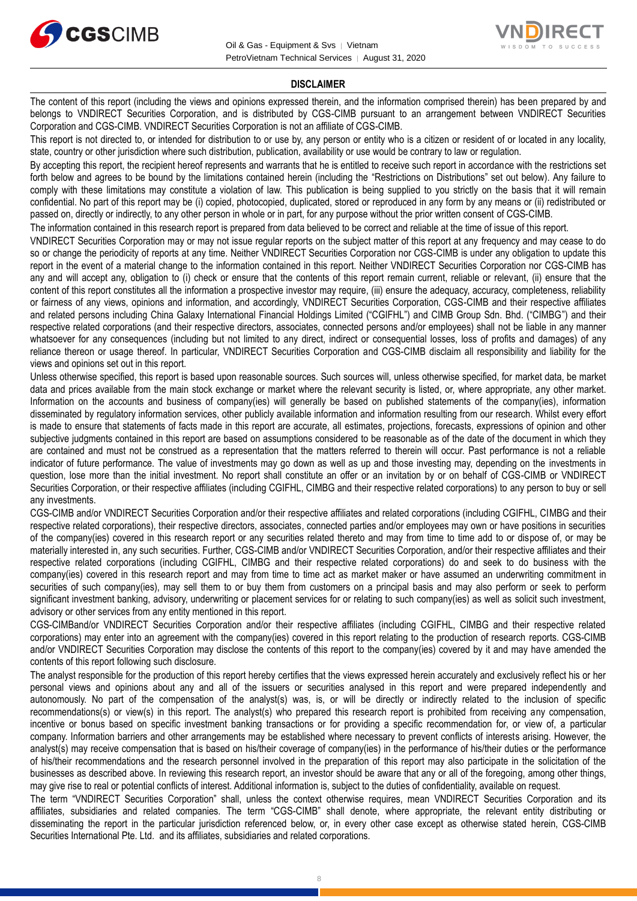



#### **DISCLAIMER**

The content of this report (including the views and opinions expressed therein, and the information comprised therein) has been prepared by and belongs to VNDIRECT Securities Corporation, and is distributed by CGS-CIMB pursuant to an arrangement between VNDIRECT Securities Corporation and CGS-CIMB. VNDIRECT Securities Corporation is not an affiliate of CGS-CIMB.

This report is not directed to, or intended for distribution to or use by, any person or entity who is a citizen or resident of or located in any locality, state, country or other jurisdiction where such distribution, publication, availability or use would be contrary to law or regulation.

By accepting this report, the recipient hereof represents and warrants that he is entitled to receive such report in accordance with the restrictions set forth below and agrees to be bound by the limitations contained herein (including the "Restrictions on Distributions" set out below). Any failure to comply with these limitations may constitute a violation of law. This publication is being supplied to you strictly on the basis that it will remain confidential. No part of this report may be (i) copied, photocopied, duplicated, stored or reproduced in any form by any means or (ii) redistributed or passed on, directly or indirectly, to any other person in whole or in part, for any purpose without the prior written consent of CGS-CIMB.

The information contained in this research report is prepared from data believed to be correct and reliable at the time of issue of this report.

VNDIRECT Securities Corporation may or may not issue regular reports on the subject matter of this report at any frequency and may cease to do so or change the periodicity of reports at any time. Neither VNDIRECT Securities Corporation nor CGS-CIMB is under any obligation to update this report in the event of a material change to the information contained in this report. Neither VNDIRECT Securities Corporation nor CGS-CIMB has any and will accept any, obligation to (i) check or ensure that the contents of this report remain current, reliable or relevant, (ii) ensure that the content of this report constitutes all the information a prospective investor may require, (iii) ensure the adequacy, accuracy, completeness, reliability or fairness of any views, opinions and information, and accordingly, VNDIRECT Securities Corporation, CGS-CIMB and their respective affiliates and related persons including China Galaxy International Financial Holdings Limited ("CGIFHL") and CIMB Group Sdn. Bhd. ("CIMBG") and their respective related corporations (and their respective directors, associates, connected persons and/or employees) shall not be liable in any manner whatsoever for any consequences (including but not limited to any direct, indirect or consequential losses, loss of profits and damages) of any reliance thereon or usage thereof. In particular, VNDIRECT Securities Corporation and CGS-CIMB disclaim all responsibility and liability for the views and opinions set out in this report.

Unless otherwise specified, this report is based upon reasonable sources. Such sources will, unless otherwise specified, for market data, be market data and prices available from the main stock exchange or market where the relevant security is listed, or, where appropriate, any other market. Information on the accounts and business of company(ies) will generally be based on published statements of the company(ies), information disseminated by regulatory information services, other publicly available information and information resulting from our research. Whilst every effort is made to ensure that statements of facts made in this report are accurate, all estimates, projections, forecasts, expressions of opinion and other subjective judgments contained in this report are based on assumptions considered to be reasonable as of the date of the document in which they are contained and must not be construed as a representation that the matters referred to therein will occur. Past performance is not a reliable indicator of future performance. The value of investments may go down as well as up and those investing may, depending on the investments in question, lose more than the initial investment. No report shall constitute an offer or an invitation by or on behalf of CGS-CIMB or VNDIRECT Securities Corporation, or their respective affiliates (including CGIFHL, CIMBG and their respective related corporations) to any person to buy or sell any investments.

CGS-CIMB and/or VNDIRECT Securities Corporation and/or their respective affiliates and related corporations (including CGIFHL, CIMBG and their respective related corporations), their respective directors, associates, connected parties and/or employees may own or have positions in securities of the company(ies) covered in this research report or any securities related thereto and may from time to time add to or dispose of, or may be materially interested in, any such securities. Further, CGS-CIMB and/or VNDIRECT Securities Corporation, and/or their respective affiliates and their respective related corporations (including CGIFHL, CIMBG and their respective related corporations) do and seek to do business with the company(ies) covered in this research report and may from time to time act as market maker or have assumed an underwriting commitment in securities of such company(ies), may sell them to or buy them from customers on a principal basis and may also perform or seek to perform significant investment banking, advisory, underwriting or placement services for or relating to such company(ies) as well as solicit such investment, advisory or other services from any entity mentioned in this report.

CGS-CIMBand/or VNDIRECT Securities Corporation and/or their respective affiliates (including CGIFHL, CIMBG and their respective related corporations) may enter into an agreement with the company(ies) covered in this report relating to the production of research reports. CGS-CIMB and/or VNDIRECT Securities Corporation may disclose the contents of this report to the company(ies) covered by it and may have amended the contents of this report following such disclosure.

The analyst responsible for the production of this report hereby certifies that the views expressed herein accurately and exclusively reflect his or her personal views and opinions about any and all of the issuers or securities analysed in this report and were prepared independently and autonomously. No part of the compensation of the analyst(s) was, is, or will be directly or indirectly related to the inclusion of specific recommendations(s) or view(s) in this report. The analyst(s) who prepared this research report is prohibited from receiving any compensation, incentive or bonus based on specific investment banking transactions or for providing a specific recommendation for, or view of, a particular company. Information barriers and other arrangements may be established where necessary to prevent conflicts of interests arising. However, the analyst(s) may receive compensation that is based on his/their coverage of company(ies) in the performance of his/their duties or the performance of his/their recommendations and the research personnel involved in the preparation of this report may also participate in the solicitation of the businesses as described above. In reviewing this research report, an investor should be aware that any or all of the foregoing, among other things, may give rise to real or potential conflicts of interest. Additional information is, subject to the duties of confidentiality, available on request.

The term "VNDIRECT Securities Corporation" shall, unless the context otherwise requires, mean VNDIRECT Securities Corporation and its affiliates, subsidiaries and related companies. The term "CGS-CIMB" shall denote, where appropriate, the relevant entity distributing or disseminating the report in the particular jurisdiction referenced below, or, in every other case except as otherwise stated herein, CGS-CIMB Securities International Pte. Ltd. and its affiliates, subsidiaries and related corporations.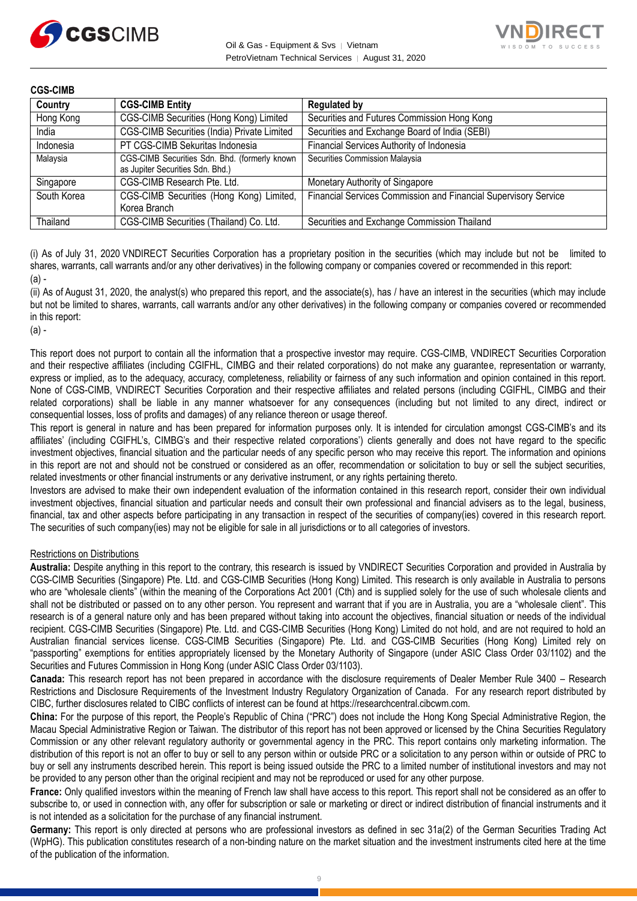



| <b>CGS-CIMB</b> |                                                                                   |                                                                 |
|-----------------|-----------------------------------------------------------------------------------|-----------------------------------------------------------------|
| Country         | <b>CGS-CIMB Entity</b>                                                            | <b>Regulated by</b>                                             |
| Hong Kong       | CGS-CIMB Securities (Hong Kong) Limited                                           | Securities and Futures Commission Hong Kong                     |
| India           | CGS-CIMB Securities (India) Private Limited                                       | Securities and Exchange Board of India (SEBI)                   |
| Indonesia       | PT CGS-CIMB Sekuritas Indonesia                                                   | Financial Services Authority of Indonesia                       |
| Malaysia        | CGS-CIMB Securities Sdn. Bhd. (formerly known<br>as Jupiter Securities Sdn. Bhd.) | Securities Commission Malaysia                                  |
| Singapore       | CGS-CIMB Research Pte. Ltd.                                                       | Monetary Authority of Singapore                                 |
| South Korea     | CGS-CIMB Securities (Hong Kong) Limited,<br>Korea Branch                          | Financial Services Commission and Financial Supervisory Service |
| Thailand        | CGS-CIMB Securities (Thailand) Co. Ltd.                                           | Securities and Exchange Commission Thailand                     |

(i) As of July 31, 2020 VNDIRECT Securities Corporation has a proprietary position in the securities (which may include but not be limited to shares, warrants, call warrants and/or any other derivatives) in the following company or companies covered or recommended in this report:  $(a)$ .

(ii) As of August 31, 2020, the analyst(s) who prepared this report, and the associate(s), has / have an interest in the securities (which may include but not be limited to shares, warrants, call warrants and/or any other derivatives) in the following company or companies covered or recommended in this report:

(a) -

This report does not purport to contain all the information that a prospective investor may require. CGS-CIMB, VNDIRECT Securities Corporation and their respective affiliates (including CGIFHL, CIMBG and their related corporations) do not make any guarantee, representation or warranty, express or implied, as to the adequacy, accuracy, completeness, reliability or fairness of any such information and opinion contained in this report. None of CGS-CIMB, VNDIRECT Securities Corporation and their respective affiliates and related persons (including CGIFHL, CIMBG and their related corporations) shall be liable in any manner whatsoever for any consequences (including but not limited to any direct, indirect or consequential losses, loss of profits and damages) of any reliance thereon or usage thereof.

This report is general in nature and has been prepared for information purposes only. It is intended for circulation amongst CGS-CIMB's and its affiliates' (including CGIFHL's, CIMBG's and their respective related corporations') clients generally and does not have regard to the specific investment objectives, financial situation and the particular needs of any specific person who may receive this report. The information and opinions in this report are not and should not be construed or considered as an offer, recommendation or solicitation to buy or sell the subject securities, related investments or other financial instruments or any derivative instrument, or any rights pertaining thereto.

Investors are advised to make their own independent evaluation of the information contained in this research report, consider their own individual investment objectives, financial situation and particular needs and consult their own professional and financial advisers as to the legal, business, financial, tax and other aspects before participating in any transaction in respect of the securities of company(ies) covered in this research report. The securities of such company(ies) may not be eligible for sale in all jurisdictions or to all categories of investors.

#### Restrictions on Distributions

**Australia:** Despite anything in this report to the contrary, this research is issued by VNDIRECT Securities Corporation and provided in Australia by CGS-CIMB Securities (Singapore) Pte. Ltd. and CGS-CIMB Securities (Hong Kong) Limited. This research is only available in Australia to persons who are "wholesale clients" (within the meaning of the Corporations Act 2001 (Cth) and is supplied solely for the use of such wholesale clients and shall not be distributed or passed on to any other person. You represent and warrant that if you are in Australia, you are a "wholesale client". This research is of a general nature only and has been prepared without taking into account the objectives, financial situation or needs of the individual recipient. CGS-CIMB Securities (Singapore) Pte. Ltd. and CGS-CIMB Securities (Hong Kong) Limited do not hold, and are not required to hold an Australian financial services license. CGS-CIMB Securities (Singapore) Pte. Ltd. and CGS-CIMB Securities (Hong Kong) Limited rely on "passporting" exemptions for entities appropriately licensed by the Monetary Authority of Singapore (under ASIC Class Order 03/1102) and the Securities and Futures Commission in Hong Kong (under ASIC Class Order 03/1103).

**Canada:** This research report has not been prepared in accordance with the disclosure requirements of Dealer Member Rule 3400 – Research Restrictions and Disclosure Requirements of the Investment Industry Regulatory Organization of Canada. For any research report distributed by CIBC, further disclosures related to CIBC conflicts of interest can be found at https://researchcentral.cibcwm.com.

**China:** For the purpose of this report, the People's Republic of China ("PRC") does not include the Hong Kong Special Administrative Region, the Macau Special Administrative Region or Taiwan. The distributor of this report has not been approved or licensed by the China Securities Regulatory Commission or any other relevant regulatory authority or governmental agency in the PRC. This report contains only marketing information. The distribution of this report is not an offer to buy or sell to any person within or outside PRC or a solicitation to any person within or outside of PRC to buy or sell any instruments described herein. This report is being issued outside the PRC to a limited number of institutional investors and may not be provided to any person other than the original recipient and may not be reproduced or used for any other purpose.

**France:** Only qualified investors within the meaning of French law shall have access to this report. This report shall not be considered as an offer to subscribe to, or used in connection with, any offer for subscription or sale or marketing or direct or indirect distribution of financial instruments and it is not intended as a solicitation for the purchase of any financial instrument.

**Germany:** This report is only directed at persons who are professional investors as defined in sec 31a(2) of the German Securities Trading Act (WpHG). This publication constitutes research of a non-binding nature on the market situation and the investment instruments cited here at the time of the publication of the information.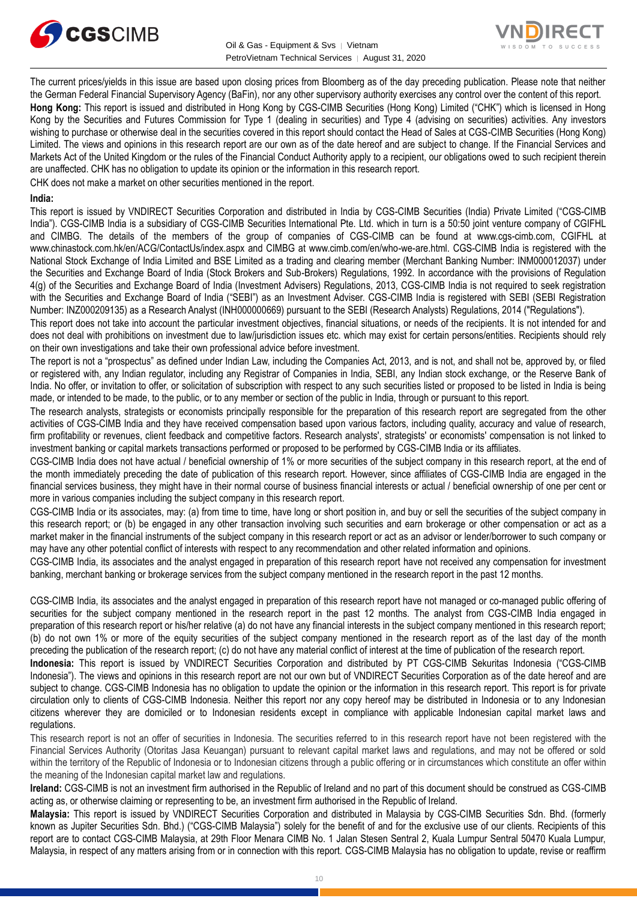



The current prices/yields in this issue are based upon closing prices from Bloomberg as of the day preceding publication. Please note that neither the German Federal Financial Supervisory Agency (BaFin), nor any other supervisory authority exercises any control over the content of this report. **Hong Kong:** This report is issued and distributed in Hong Kong by CGS-CIMB Securities (Hong Kong) Limited ("CHK") which is licensed in Hong Kong by the Securities and Futures Commission for Type 1 (dealing in securities) and Type 4 (advising on securities) activities. Any investors wishing to purchase or otherwise deal in the securities covered in this report should contact the Head of Sales at CGS-CIMB Securities (Hong Kong) Limited. The views and opinions in this research report are our own as of the date hereof and are subject to change. If the Financial Services and Markets Act of the United Kingdom or the rules of the Financial Conduct Authority apply to a recipient, our obligations owed to such recipient therein are unaffected. CHK has no obligation to update its opinion or the information in this research report.

CHK does not make a market on other securities mentioned in the report.

#### **India:**

This report is issued by VNDIRECT Securities Corporation and distributed in India by CGS-CIMB Securities (India) Private Limited ("CGS-CIMB India"). CGS-CIMB India is a subsidiary of CGS-CIMB Securities International Pte. Ltd. which in turn is a 50:50 joint venture company of CGIFHL and CIMBG. The details of the members of the group of companies of CGS-CIMB can be found at www.cgs-cimb.com, CGIFHL at www.chinastock.com.hk/en/ACG/ContactUs/index.aspx and CIMBG at www.cimb.com/en/who-we-are.html. CGS-CIMB India is registered with the National Stock Exchange of India Limited and BSE Limited as a trading and clearing member (Merchant Banking Number: INM000012037) under the Securities and Exchange Board of India (Stock Brokers and Sub-Brokers) Regulations, 1992. In accordance with the provisions of Regulation 4(g) of the Securities and Exchange Board of India (Investment Advisers) Regulations, 2013, CGS-CIMB India is not required to seek registration with the Securities and Exchange Board of India ("SEBI") as an Investment Adviser. CGS-CIMB India is registered with SEBI (SEBI Registration Number: INZ000209135) as a Research Analyst (INH000000669) pursuant to the SEBI (Research Analysts) Regulations, 2014 ("Regulations").

This report does not take into account the particular investment objectives, financial situations, or needs of the recipients. It is not intended for and does not deal with prohibitions on investment due to law/jurisdiction issues etc. which may exist for certain persons/entities. Recipients should rely on their own investigations and take their own professional advice before investment.

The report is not a "prospectus" as defined under Indian Law, including the Companies Act, 2013, and is not, and shall not be, approved by, or filed or registered with, any Indian regulator, including any Registrar of Companies in India, SEBI, any Indian stock exchange, or the Reserve Bank of India. No offer, or invitation to offer, or solicitation of subscription with respect to any such securities listed or proposed to be listed in India is being made, or intended to be made, to the public, or to any member or section of the public in India, through or pursuant to this report.

The research analysts, strategists or economists principally responsible for the preparation of this research report are segregated from the other activities of CGS-CIMB India and they have received compensation based upon various factors, including quality, accuracy and value of research, firm profitability or revenues, client feedback and competitive factors. Research analysts', strategists' or economists' compensation is not linked to investment banking or capital markets transactions performed or proposed to be performed by CGS-CIMB India or its affiliates.

CGS-CIMB India does not have actual / beneficial ownership of 1% or more securities of the subject company in this research report, at the end of the month immediately preceding the date of publication of this research report. However, since affiliates of CGS-CIMB India are engaged in the financial services business, they might have in their normal course of business financial interests or actual / beneficial ownership of one per cent or more in various companies including the subject company in this research report.

CGS-CIMB India or its associates, may: (a) from time to time, have long or short position in, and buy or sell the securities of the subject company in this research report; or (b) be engaged in any other transaction involving such securities and earn brokerage or other compensation or act as a market maker in the financial instruments of the subject company in this research report or act as an advisor or lender/borrower to such company or may have any other potential conflict of interests with respect to any recommendation and other related information and opinions.

CGS-CIMB India, its associates and the analyst engaged in preparation of this research report have not received any compensation for investment banking, merchant banking or brokerage services from the subject company mentioned in the research report in the past 12 months.

CGS-CIMB India, its associates and the analyst engaged in preparation of this research report have not managed or co-managed public offering of securities for the subject company mentioned in the research report in the past 12 months. The analyst from CGS-CIMB India engaged in preparation of this research report or his/her relative (a) do not have any financial interests in the subject company mentioned in this research report; (b) do not own 1% or more of the equity securities of the subject company mentioned in the research report as of the last day of the month preceding the publication of the research report; (c) do not have any material conflict of interest at the time of publication of the research report.

**Indonesia:** This report is issued by VNDIRECT Securities Corporation and distributed by PT CGS-CIMB Sekuritas Indonesia ("CGS-CIMB Indonesia"). The views and opinions in this research report are not our own but of VNDIRECT Securities Corporation as of the date hereof and are subject to change. CGS-CIMB Indonesia has no obligation to update the opinion or the information in this research report. This report is for private circulation only to clients of CGS-CIMB Indonesia. Neither this report nor any copy hereof may be distributed in Indonesia or to any Indonesian citizens wherever they are domiciled or to Indonesian residents except in compliance with applicable Indonesian capital market laws and regulations.

This research report is not an offer of securities in Indonesia. The securities referred to in this research report have not been registered with the Financial Services Authority (Otoritas Jasa Keuangan) pursuant to relevant capital market laws and regulations, and may not be offered or sold within the territory of the Republic of Indonesia or to Indonesian citizens through a public offering or in circumstances which constitute an offer within the meaning of the Indonesian capital market law and regulations.

**Ireland:** CGS-CIMB is not an investment firm authorised in the Republic of Ireland and no part of this document should be construed as CGS-CIMB acting as, or otherwise claiming or representing to be, an investment firm authorised in the Republic of Ireland.

**Malaysia:** This report is issued by VNDIRECT Securities Corporation and distributed in Malaysia by CGS-CIMB Securities Sdn. Bhd. (formerly known as Jupiter Securities Sdn. Bhd.) ("CGS-CIMB Malaysia") solely for the benefit of and for the exclusive use of our clients. Recipients of this report are to contact CGS-CIMB Malaysia, at 29th Floor Menara CIMB No. 1 Jalan Stesen Sentral 2, Kuala Lumpur Sentral 50470 Kuala Lumpur, Malaysia, in respect of any matters arising from or in connection with this report. CGS-CIMB Malaysia has no obligation to update, revise or reaffirm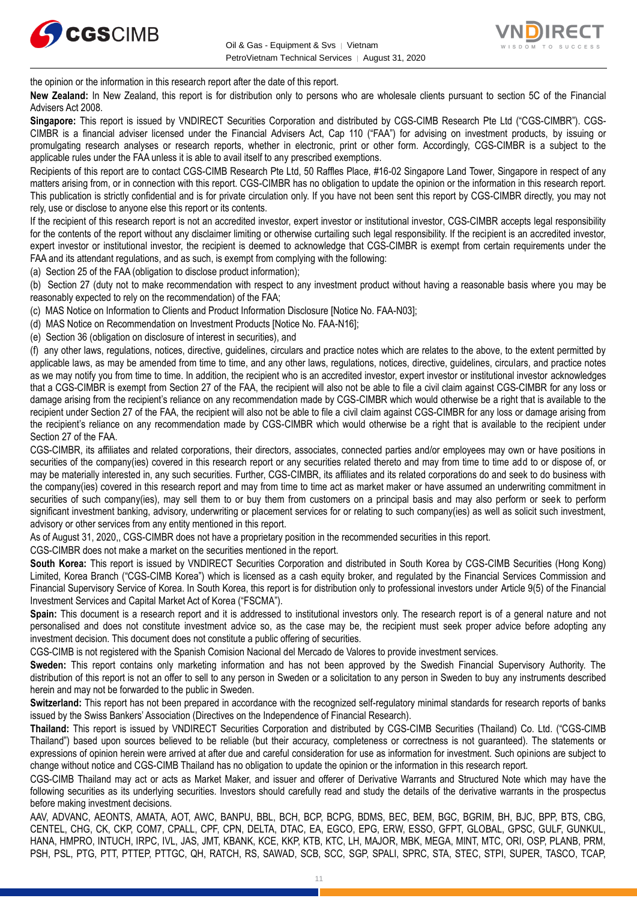



the opinion or the information in this research report after the date of this report.

**New Zealand:** In New Zealand, this report is for distribution only to persons who are wholesale clients pursuant to section 5C of the Financial Advisers Act 2008.

**Singapore:** This report is issued by VNDIRECT Securities Corporation and distributed by CGS-CIMB Research Pte Ltd ("CGS-CIMBR"). CGS-CIMBR is a financial adviser licensed under the Financial Advisers Act, Cap 110 ("FAA") for advising on investment products, by issuing or promulgating research analyses or research reports, whether in electronic, print or other form. Accordingly, CGS-CIMBR is a subject to the applicable rules under the FAA unless it is able to avail itself to any prescribed exemptions.

Recipients of this report are to contact CGS-CIMB Research Pte Ltd, 50 Raffles Place, #16-02 Singapore Land Tower, Singapore in respect of any matters arising from, or in connection with this report. CGS-CIMBR has no obligation to update the opinion or the information in this research report. This publication is strictly confidential and is for private circulation only. If you have not been sent this report by CGS-CIMBR directly, you may not rely, use or disclose to anyone else this report or its contents.

If the recipient of this research report is not an accredited investor, expert investor or institutional investor, CGS-CIMBR accepts legal responsibility for the contents of the report without any disclaimer limiting or otherwise curtailing such legal responsibility. If the recipient is an accredited investor, expert investor or institutional investor, the recipient is deemed to acknowledge that CGS-CIMBR is exempt from certain requirements under the FAA and its attendant regulations, and as such, is exempt from complying with the following:

(a) Section 25 of the FAA (obligation to disclose product information);

(b) Section 27 (duty not to make recommendation with respect to any investment product without having a reasonable basis where you may be reasonably expected to rely on the recommendation) of the FAA;

(c) MAS Notice on Information to Clients and Product Information Disclosure [Notice No. FAA-N03];

(d) MAS Notice on Recommendation on Investment Products [Notice No. FAA-N16];

(e) Section 36 (obligation on disclosure of interest in securities), and

(f) any other laws, regulations, notices, directive, guidelines, circulars and practice notes which are relates to the above, to the extent permitted by applicable laws, as may be amended from time to time, and any other laws, regulations, notices, directive, guidelines, circulars, and practice notes as we may notify you from time to time. In addition, the recipient who is an accredited investor, expert investor or institutional investor acknowledges that a CGS-CIMBR is exempt from Section 27 of the FAA, the recipient will also not be able to file a civil claim against CGS-CIMBR for any loss or damage arising from the recipient's reliance on any recommendation made by CGS-CIMBR which would otherwise be a right that is available to the recipient under Section 27 of the FAA, the recipient will also not be able to file a civil claim against CGS-CIMBR for any loss or damage arising from the recipient's reliance on any recommendation made by CGS-CIMBR which would otherwise be a right that is available to the recipient under Section 27 of the FAA.

CGS-CIMBR, its affiliates and related corporations, their directors, associates, connected parties and/or employees may own or have positions in securities of the company(ies) covered in this research report or any securities related thereto and may from time to time add to or dispose of, or may be materially interested in, any such securities. Further, CGS-CIMBR, its affiliates and its related corporations do and seek to do business with the company(ies) covered in this research report and may from time to time act as market maker or have assumed an underwriting commitment in securities of such company(ies), may sell them to or buy them from customers on a principal basis and may also perform or seek to perform significant investment banking, advisory, underwriting or placement services for or relating to such company(ies) as well as solicit such investment, advisory or other services from any entity mentioned in this report.

As of August 31, 2020,, CGS-CIMBR does not have a proprietary position in the recommended securities in this report.

CGS-CIMBR does not make a market on the securities mentioned in the report.

**South Korea:** This report is issued by VNDIRECT Securities Corporation and distributed in South Korea by CGS-CIMB Securities (Hong Kong) Limited, Korea Branch ("CGS-CIMB Korea") which is licensed as a cash equity broker, and regulated by the Financial Services Commission and Financial Supervisory Service of Korea. In South Korea, this report is for distribution only to professional investors under Article 9(5) of the Financial Investment Services and Capital Market Act of Korea ("FSCMA").

**Spain:** This document is a research report and it is addressed to institutional investors only. The research report is of a general nature and not personalised and does not constitute investment advice so, as the case may be, the recipient must seek proper advice before adopting any investment decision. This document does not constitute a public offering of securities.

CGS-CIMB is not registered with the Spanish Comision Nacional del Mercado de Valores to provide investment services.

**Sweden:** This report contains only marketing information and has not been approved by the Swedish Financial Supervisory Authority. The distribution of this report is not an offer to sell to any person in Sweden or a solicitation to any person in Sweden to buy any instruments described herein and may not be forwarded to the public in Sweden.

**Switzerland:** This report has not been prepared in accordance with the recognized self-regulatory minimal standards for research reports of banks issued by the Swiss Bankers' Association (Directives on the Independence of Financial Research).

**Thailand:** This report is issued by VNDIRECT Securities Corporation and distributed by CGS-CIMB Securities (Thailand) Co. Ltd. ("CGS-CIMB Thailand") based upon sources believed to be reliable (but their accuracy, completeness or correctness is not guaranteed). The statements or expressions of opinion herein were arrived at after due and careful consideration for use as information for investment. Such opinions are subject to change without notice and CGS-CIMB Thailand has no obligation to update the opinion or the information in this research report.

CGS-CIMB Thailand may act or acts as Market Maker, and issuer and offerer of Derivative Warrants and Structured Note which may have the following securities as its underlying securities. Investors should carefully read and study the details of the derivative warrants in the prospectus before making investment decisions.

AAV, ADVANC, AEONTS, AMATA, AOT, AWC, BANPU, BBL, BCH, BCP, BCPG, BDMS, BEC, BEM, BGC, BGRIM, BH, BJC, BPP, BTS, CBG, CENTEL, CHG, CK, CKP, COM7, CPALL, CPF, CPN, DELTA, DTAC, EA, EGCO, EPG, ERW, ESSO, GFPT, GLOBAL, GPSC, GULF, GUNKUL, HANA, HMPRO, INTUCH, IRPC, IVL, JAS, JMT, KBANK, KCE, KKP, KTB, KTC, LH, MAJOR, MBK, MEGA, MINT, MTC, ORI, OSP, PLANB, PRM, PSH, PSL, PTG, PTT, PTTEP, PTTGC, QH, RATCH, RS, SAWAD, SCB, SCC, SGP, SPALI, SPRC, STA, STEC, STPI, SUPER, TASCO, TCAP,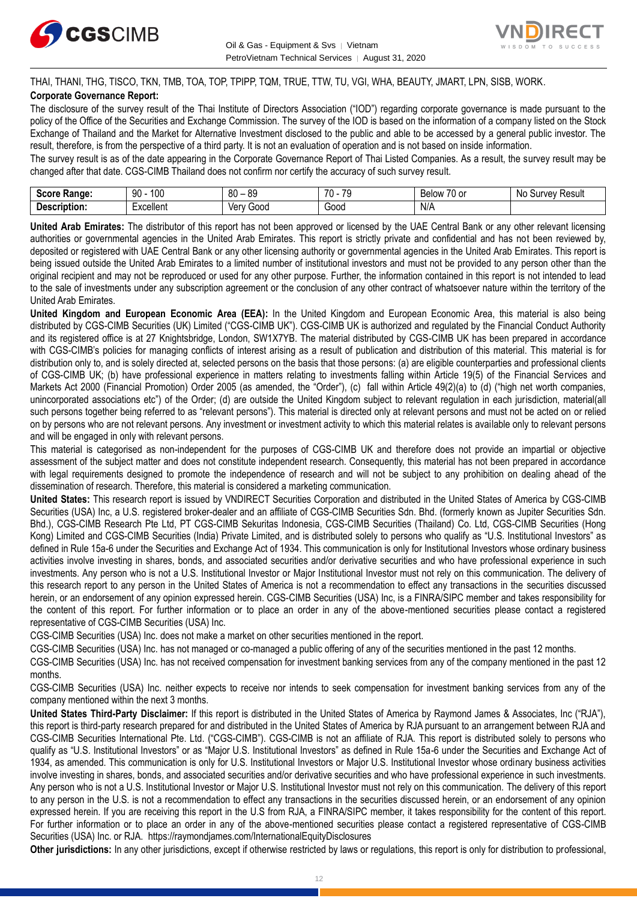



THAI, THANI, THG, TISCO, TKN, TMB, TOA, TOP, TPIPP, TQM, TRUE, TTW, TU, VGI, WHA, BEAUTY, JMART, LPN, SISB, WORK. **Corporate Governance Report:**

The disclosure of the survey result of the Thai Institute of Directors Association ("IOD") regarding corporate governance is made pursuant to the policy of the Office of the Securities and Exchange Commission. The survey of the IOD is based on the information of a company listed on the Stock Exchange of Thailand and the Market for Alternative Investment disclosed to the public and able to be accessed by a general public investor. The result, therefore, is from the perspective of a third party. It is not an evaluation of operation and is not based on inside information.

The survey result is as of the date appearing in the Corporate Governance Report of Thai Listed Companies. As a result, the survey result may be changed after that date. CGS-CIMB Thailand does not confirm nor certify the accuracy of such survey result.

| <b>Range:</b><br>Score     | 100<br>۵n<br>טע<br>ĴU | 89<br>80<br>$\overline{\phantom{a}}$ | 70<br>70<br>. . | $\overline{\phantom{a}}$<br>Below<br>$\sim$<br>. ט<br>v | : Result<br>N0<br>urve <sup>.</sup> |
|----------------------------|-----------------------|--------------------------------------|-----------------|---------------------------------------------------------|-------------------------------------|
| <b>Descrip</b><br>ription: | Lyonllont<br>∟∧∪∪แ∪เแ | 000خ<br>Verv                         | 000ن            | N/A                                                     |                                     |

**United Arab Emirates:** The distributor of this report has not been approved or licensed by the UAE Central Bank or any other relevant licensing authorities or governmental agencies in the United Arab Emirates. This report is strictly private and confidential and has not been reviewed by, deposited or registered with UAE Central Bank or any other licensing authority or governmental agencies in the United Arab Emirates. This report is being issued outside the United Arab Emirates to a limited number of institutional investors and must not be provided to any person other than the original recipient and may not be reproduced or used for any other purpose. Further, the information contained in this report is not intended to lead to the sale of investments under any subscription agreement or the conclusion of any other contract of whatsoever nature within the territory of the United Arab Emirates.

**United Kingdom and European Economic Area (EEA):** In the United Kingdom and European Economic Area, this material is also being distributed by CGS-CIMB Securities (UK) Limited ("CGS-CIMB UK"). CGS-CIMB UK is authorized and regulated by the Financial Conduct Authority and its registered office is at 27 Knightsbridge, London, SW1X7YB. The material distributed by CGS-CIMB UK has been prepared in accordance with CGS-CIMB's policies for managing conflicts of interest arising as a result of publication and distribution of this material. This material is for distribution only to, and is solely directed at, selected persons on the basis that those persons: (a) are eligible counterparties and professional clients of CGS-CIMB UK; (b) have professional experience in matters relating to investments falling within Article 19(5) of the Financial Services and Markets Act 2000 (Financial Promotion) Order 2005 (as amended, the "Order"), (c) fall within Article 49(2)(a) to (d) ("high net worth companies, unincorporated associations etc") of the Order; (d) are outside the United Kingdom subject to relevant regulation in each jurisdiction, material(all such persons together being referred to as "relevant persons"). This material is directed only at relevant persons and must not be acted on or relied on by persons who are not relevant persons. Any investment or investment activity to which this material relates is available only to relevant persons and will be engaged in only with relevant persons.

This material is categorised as non-independent for the purposes of CGS-CIMB UK and therefore does not provide an impartial or objective assessment of the subject matter and does not constitute independent research. Consequently, this material has not been prepared in accordance with legal requirements designed to promote the independence of research and will not be subject to any prohibition on dealing ahead of the dissemination of research. Therefore, this material is considered a marketing communication.

**United States:** This research report is issued by VNDIRECT Securities Corporation and distributed in the United States of America by CGS-CIMB Securities (USA) Inc, a U.S. registered broker-dealer and an affiliate of CGS-CIMB Securities Sdn. Bhd. (formerly known as Jupiter Securities Sdn. Bhd.), CGS-CIMB Research Pte Ltd, PT CGS-CIMB Sekuritas Indonesia, CGS-CIMB Securities (Thailand) Co. Ltd, CGS-CIMB Securities (Hong Kong) Limited and CGS-CIMB Securities (India) Private Limited, and is distributed solely to persons who qualify as "U.S. Institutional Investors" as defined in Rule 15a-6 under the Securities and Exchange Act of 1934. This communication is only for Institutional Investors whose ordinary business activities involve investing in shares, bonds, and associated securities and/or derivative securities and who have professional experience in such investments. Any person who is not a U.S. Institutional Investor or Major Institutional Investor must not rely on this communication. The delivery of this research report to any person in the United States of America is not a recommendation to effect any transactions in the securities discussed herein, or an endorsement of any opinion expressed herein. CGS-CIMB Securities (USA) Inc, is a FINRA/SIPC member and takes responsibility for the content of this report. For further information or to place an order in any of the above-mentioned securities please contact a registered representative of CGS-CIMB Securities (USA) Inc.

CGS-CIMB Securities (USA) Inc. does not make a market on other securities mentioned in the report.

CGS-CIMB Securities (USA) Inc. has not managed or co-managed a public offering of any of the securities mentioned in the past 12 months.

CGS-CIMB Securities (USA) Inc. has not received compensation for investment banking services from any of the company mentioned in the past 12 months.

CGS-CIMB Securities (USA) Inc. neither expects to receive nor intends to seek compensation for investment banking services from any of the company mentioned within the next 3 months.

**United States Third-Party Disclaimer:** If this report is distributed in the United States of America by Raymond James & Associates, Inc ("RJA"), this report is third-party research prepared for and distributed in the United States of America by RJA pursuant to an arrangement between RJA and CGS-CIMB Securities International Pte. Ltd. ("CGS-CIMB"). CGS-CIMB is not an affiliate of RJA. This report is distributed solely to persons who qualify as "U.S. Institutional Investors" or as "Major U.S. Institutional Investors" as defined in Rule 15a-6 under the Securities and Exchange Act of 1934, as amended. This communication is only for U.S. Institutional Investors or Major U.S. Institutional Investor whose ordinary business activities involve investing in shares, bonds, and associated securities and/or derivative securities and who have professional experience in such investments. Any person who is not a U.S. Institutional Investor or Major U.S. Institutional Investor must not rely on this communication. The delivery of this report to any person in the U.S. is not a recommendation to effect any transactions in the securities discussed herein, or an endorsement of any opinion expressed herein. If you are receiving this report in the U.S from RJA, a FINRA/SIPC member, it takes responsibility for the content of this report. For further information or to place an order in any of the above-mentioned securities please contact a registered representative of CGS-CIMB Securities (USA) Inc. or RJA.<https://raymondjames.com/InternationalEquityDisclosures>

**Other jurisdictions:** In any other jurisdictions, except if otherwise restricted by laws or regulations, this report is only for distribution to professional,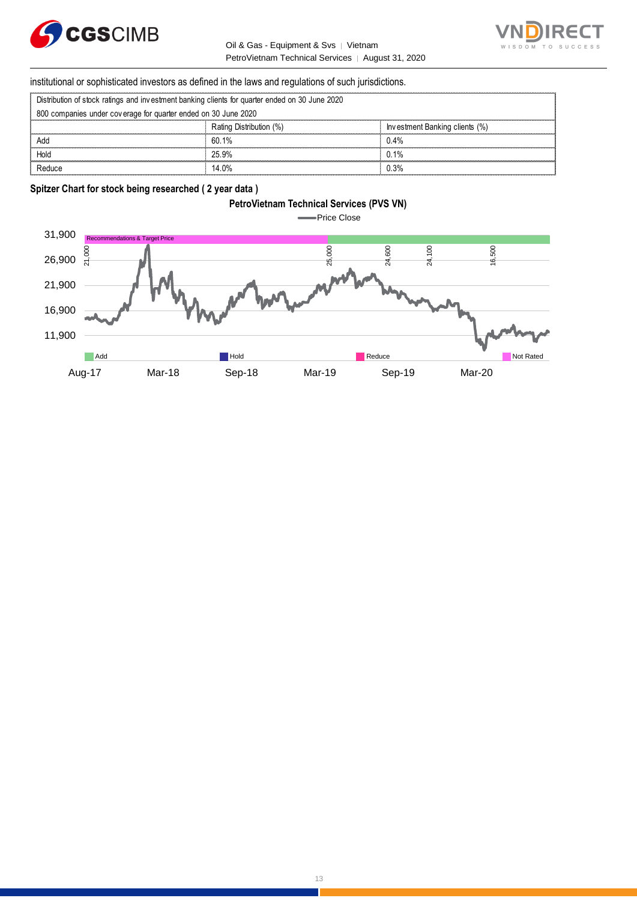



#### institutional or sophisticated investors as defined in the laws and regulations of such jurisdictions.

|  |  |  |  | Distribution of stock ratings and investment banking clients for quarter ended on 30 June 2020 |  |  |
|--|--|--|--|------------------------------------------------------------------------------------------------|--|--|

|                                                                                                | PetroVietnam Technical Services   August 31, 2020                                                      |                                |  |  |
|------------------------------------------------------------------------------------------------|--------------------------------------------------------------------------------------------------------|--------------------------------|--|--|
|                                                                                                | institutional or sophisticated investors as defined in the laws and regulations of such jurisdictions. |                                |  |  |
| Distribution of stock ratings and investment banking clients for quarter ended on 30 June 2020 |                                                                                                        |                                |  |  |
| 800 companies under coverage for quarter ended on 30 June 2020                                 |                                                                                                        |                                |  |  |
|                                                                                                | Rating Distribution (%)                                                                                | Investment Banking clients (%) |  |  |
| Add                                                                                            | 60.1%                                                                                                  | 0.4%                           |  |  |
| Hold                                                                                           | 25.9%                                                                                                  | 0.1%                           |  |  |
| Reduce                                                                                         | 14.0%                                                                                                  | 0.3%                           |  |  |

#### **Spitzer Chart for stock being researched ( 2 year data )**

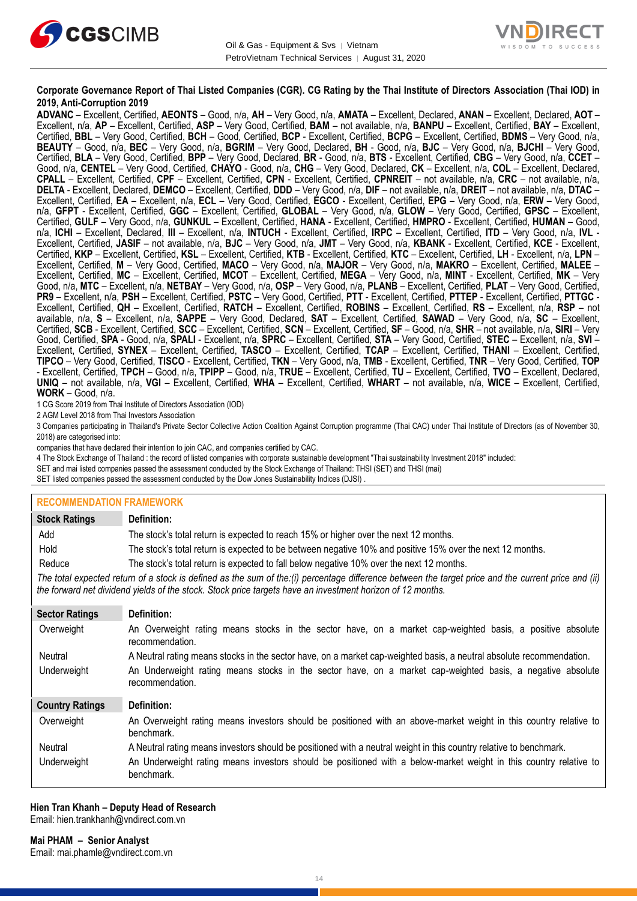



#### **Corporate Governance Report of Thai Listed Companies (CGR). CG Rating by the Thai Institute of Directors Association (Thai IOD) in 2019, Anti-Corruption 2019**

**ADVANC** – Excellent, Certified, **AEONTS** – Good, n/a, **AH** – Very Good, n/a, **AMATA** – Excellent, Declared, **ANAN** – Excellent, Declared, **AOT** – Excellent, n/a, **AP** – Excellent, Certified, **ASP** – Very Good, Certified, **BAM** – not available, n/a, **BANPU** – Excellent, Certified, **BAY** – Excellent, Certified, **BBL** – Very Good, Certified, **BCH** – Good, Certified, **BCP** - Excellent, Certified, **BCPG** – Excellent, Certified, **BDMS** – Very Good, n/a, **BEAUTY** – Good, n/a, **BEC** – Very Good, n/a, **BGRIM** – Very Good, Declared, **BH** - Good, n/a, **BJC** – Very Good, n/a, **BJCHI** – Very Good, Certified, **BLA** – Very Good, Certified, **BPP** – Very Good, Declared, **BR** - Good, n/a, **BTS** - Excellent, Certified, **CBG** – Very Good, n/a, **CCET** – Good, n/a, **CENTEL** – Very Good, Certified, **CHAYO** - Good, n/a, **CHG** – Very Good, Declared, **CK** – Excellent, n/a, **COL** – Excellent, Declared, **CPALL** – Excellent, Certified, **CPF** – Excellent, Certified, **CPN** - Excellent, Certified, **CPNREIT** – not available, n/a, **CRC** – not available, n/a, **DELTA** - Excellent, Declared, **DEMCO** – Excellent, Certified, **DDD** – Very Good, n/a, **DIF** – not available, n/a, **DREIT** – not available, n/a, **DTAC** – Excellent, Certified, **EA** – Excellent, n/a, **ECL** – Very Good, Certified, **EGCO** - Excellent, Certified, **EPG** – Very Good, n/a, **ERW** – Very Good, n/a, **GFPT** - Excellent, Certified, **GGC** – Excellent, Certified, **GLOBAL** – Very Good, n/a, **GLOW** – Very Good, Certified, **GPSC** – Excellent, Certified, **GULF** – Very Good, n/a, **GUNKUL** – Excellent, Certified, **HANA** - Excellent, Certified, **HMPRO** - Excellent, Certified, **HUMAN** – Good, n/a, **ICHI** – Excellent, Declared, **III** – Excellent, n/a, **INTUCH** - Excellent, Certified, **IRPC** – Excellent, Certified, **ITD** – Very Good, n/a, **IVL** - Excellent, Certified, **JASIF** – not available, n/a, **BJC** – Very Good, n/a, **JMT** – Very Good, n/a, **KBANK** - Excellent, Certified, **KCE** - Excellent, Certified, **KKP** – Excellent, Certified, **KSL** – Excellent, Certified, **KTB** - Excellent, Certified, **KTC** – Excellent, Certified, **LH** - Excellent, n/a, **LPN** – Excellent, Certified, **M** – Very Good, Certified, **MACO** – Very Good, n/a, **MAJOR** – Very Good, n/a, **MAKRO** – Excellent, Certified, **MALEE** – Excellent, Certified, **MC** – Excellent, Certified, **MCOT** – Excellent, Certified, **MEGA** – Very Good, n/a, **MINT** - Excellent, Certified, **MK** – Very Good, n/a, **MTC** – Excellent, n/a, **NETBAY** – Very Good, n/a, **OSP** – Very Good, n/a, **PLANB** – Excellent, Certified, **PLAT** – Very Good, Certified, **PR9** – Excellent, n/a, **PSH** – Excellent, Certified, **PSTC** – Very Good, Certified, **PTT** - Excellent, Certified, **PTTEP** - Excellent, Certified, **PTTGC** - Excellent, Certified, **QH** – Excellent, Certified, **RATCH** – Excellent, Certified, **ROBINS** – Excellent, Certified, **RS** – Excellent, n/a, **RSP** – not available, n/a, **S** – Excellent, n/a, **SAPPE** – Very Good, Declared, **SAT** – Excellent, Certified, **SAWAD** – Very Good, n/a, **SC** – Excellent, Certified, **SCB** - Excellent, Certified, **SCC** – Excellent, Certified, **SCN** – Excellent, Certified, **SF** – Good, n/a, **SHR** – not available, n/a, **SIRI** – Very Good, Certified, **SPA** - Good, n/a, **SPALI** - Excellent, n/a, **SPRC** – Excellent, Certified, **STA** – Very Good, Certified, **STEC** – Excellent, n/a, **SVI** – Excellent, Certified, **SYNEX** – Excellent, Certified, **TASCO** – Excellent, Certified, **TCAP** – Excellent, Certified, **THANI** – Excellent, Certified, **TIPCO** – Very Good, Certified, **TISCO** - Excellent, Certified, **TKN** – Very Good, n/a, **TMB** - Excellent, Certified, **TNR** – Very Good, Certified, **TOP** - Excellent, Certified, **TPCH** – Good, n/a, **TPIPP** – Good, n/a, **TRUE** – Excellent, Certified, **TU** – Excellent, Certified, **TVO** – Excellent, Declared, **UNIQ** – not available, n/a, **VGI** – Excellent, Certified, **WHA** – Excellent, Certified, **WHART** – not available, n/a, **WICE** – Excellent, Certified, **WORK** – Good, n/a.

1 CG Score 2019 from Thai Institute of Directors Association (IOD)

2 AGM Level 2018 from Thai Investors Association

3 Companies participating in Thailand's Private Sector Collective Action Coalition Against Corruption programme (Thai CAC) under Thai Institute of Directors (as of November 30, 2018) are categorised into:

companies that have declared their intention to join CAC, and companies certified by CAC.

4 [The Stock Exchange of Thailand : the record of listed companies with corporate sustainable development "Thai sustainability Investment 2018" included:](http://www.set.or.th/sustainable_dev/en/sr/sri/tsi_p1.html)

SET and mai listed companies passed the assessment conducted by the Stock Exchange of Thailand: THSI (SET) and THSI (mai)

SET listed companies passed the assessment conducted by the Dow Jones Sustainability Indices (DJSI)

#### **RECOMMENDATION FRAMEWORK**

| <b>Stock Ratings</b>   | Definition:                                                                                                                                                                                                                                                       |
|------------------------|-------------------------------------------------------------------------------------------------------------------------------------------------------------------------------------------------------------------------------------------------------------------|
| Add                    | The stock's total return is expected to reach 15% or higher over the next 12 months.                                                                                                                                                                              |
| Hold                   | The stock's total return is expected to be between negative 10% and positive 15% over the next 12 months.                                                                                                                                                         |
| Reduce                 | The stock's total return is expected to fall below negative 10% over the next 12 months.                                                                                                                                                                          |
|                        | The total expected return of a stock is defined as the sum of the:(i) percentage difference between the target price and the current price and (ii)<br>the forward net dividend yields of the stock. Stock price targets have an investment horizon of 12 months. |
| <b>Sector Ratings</b>  | Definition:                                                                                                                                                                                                                                                       |
| Overweight             | An Overweight rating means stocks in the sector have, on a market cap-weighted basis, a positive absolute<br>recommendation.                                                                                                                                      |
| Neutral                | A Neutral rating means stocks in the sector have, on a market cap-weighted basis, a neutral absolute recommendation.                                                                                                                                              |
| Underweight            | An Underweight rating means stocks in the sector have, on a market cap-weighted basis, a negative absolute<br>recommendation.                                                                                                                                     |
| <b>Country Ratings</b> | Definition:                                                                                                                                                                                                                                                       |
| Overweight             | An Overweight rating means investors should be positioned with an above-market weight in this country relative to<br>benchmark.                                                                                                                                   |
| Neutral                | A Neutral rating means investors should be positioned with a neutral weight in this country relative to benchmark.                                                                                                                                                |
| Underweight            | An Underweight rating means investors should be positioned with a below-market weight in this country relative to<br>benchmark.                                                                                                                                   |

#### **Hien Tran Khanh – Deputy Head of Research** Email: [hien.trankhanh@vndirect.com.vn](mailto:hien.trankhanh@vndirect.com.vn)

**Mai PHAM – Senior Analyst** Email: [mai.phamle@vndirect.com.vn](mailto:mai.phamle@vndirect.com.vn)